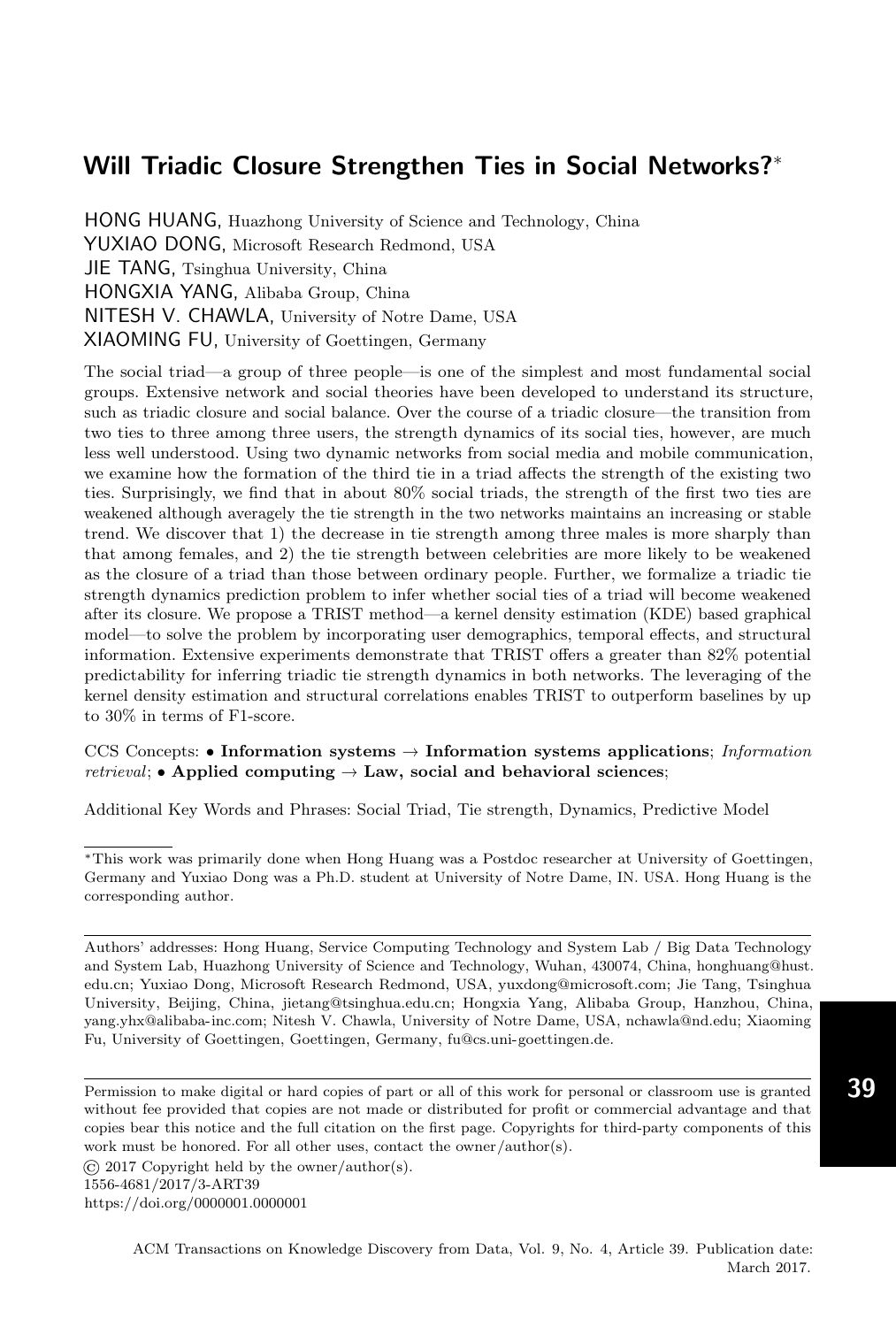HONG HUANG, Huazhong University of Science and Technology, China YUXIAO DONG, Microsoft Research Redmond, USA JIE TANG, Tsinghua University, China HONGXIA YANG, Alibaba Group, China NITESH V. CHAWLA, University of Notre Dame, USA XIAOMING FU, University of Goettingen, Germany

The social triad—a group of three people—is one of the simplest and most fundamental social groups. Extensive network and social theories have been developed to understand its structure, such as triadic closure and social balance. Over the course of a triadic closure—the transition from two ties to three among three users, the strength dynamics of its social ties, however, are much less well understood. Using two dynamic networks from social media and mobile communication, we examine how the formation of the third tie in a triad affects the strength of the existing two ties. Surprisingly, we find that in about 80% social triads, the strength of the first two ties are weakened although averagely the tie strength in the two networks maintains an increasing or stable trend. We discover that 1) the decrease in tie strength among three males is more sharply than that among females, and 2) the tie strength between celebrities are more likely to be weakened as the closure of a triad than those between ordinary people. Further, we formalize a triadic tie strength dynamics prediction problem to infer whether social ties of a triad will become weakened after its closure. We propose a TRIST method—a kernel density estimation (KDE) based graphical model—to solve the problem by incorporating user demographics, temporal effects, and structural information. Extensive experiments demonstrate that TRIST offers a greater than 82% potential predictability for inferring triadic tie strength dynamics in both networks. The leveraging of the kernel density estimation and structural correlations enables TRIST to outperform baselines by up to 30% in terms of F1-score.

# CCS Concepts: • Information systems  $\rightarrow$  Information systems applications; Information *retrieval*; • Applied computing  $\rightarrow$  Law, social and behavioral sciences;

Additional Key Words and Phrases: Social Triad, Tie strength, Dynamics, Predictive Model

Permission to make digital or hard copies of part or all of this work for personal or classroom use is granted without fee provided that copies are not made or distributed for profit or commercial advantage and that copies bear this notice and the full citation on the first page. Copyrights for third-party components of this work must be honored. For all other uses, contact the owner/author(s).

© 2017 Copyright held by the owner/author(s).

<https://doi.org/0000001.0000001>

<sup>\*</sup>This work was primarily done when Hong Huang was a Postdoc researcher at University of Goettingen, Germany and Yuxiao Dong was a Ph.D. student at University of Notre Dame, IN. USA. Hong Huang is the corresponding author.

Authors' addresses: Hong Huang, Service Computing Technology and System Lab / Big Data Technology and System Lab, Huazhong University of Science and Technology, Wuhan, 430074, China, honghuang@hust. edu.cn; Yuxiao Dong, Microsoft Research Redmond, USA, yuxdong@microsoft.com; Jie Tang, Tsinghua University, Beijing, China, jietang@tsinghua.edu.cn; Hongxia Yang, Alibaba Group, Hanzhou, China, yang.yhx@alibaba-inc.com; Nitesh V. Chawla, University of Notre Dame, USA, nchawla@nd.edu; Xiaoming Fu, University of Goettingen, Goettingen, Germany, fu@cs.uni-goettingen.de.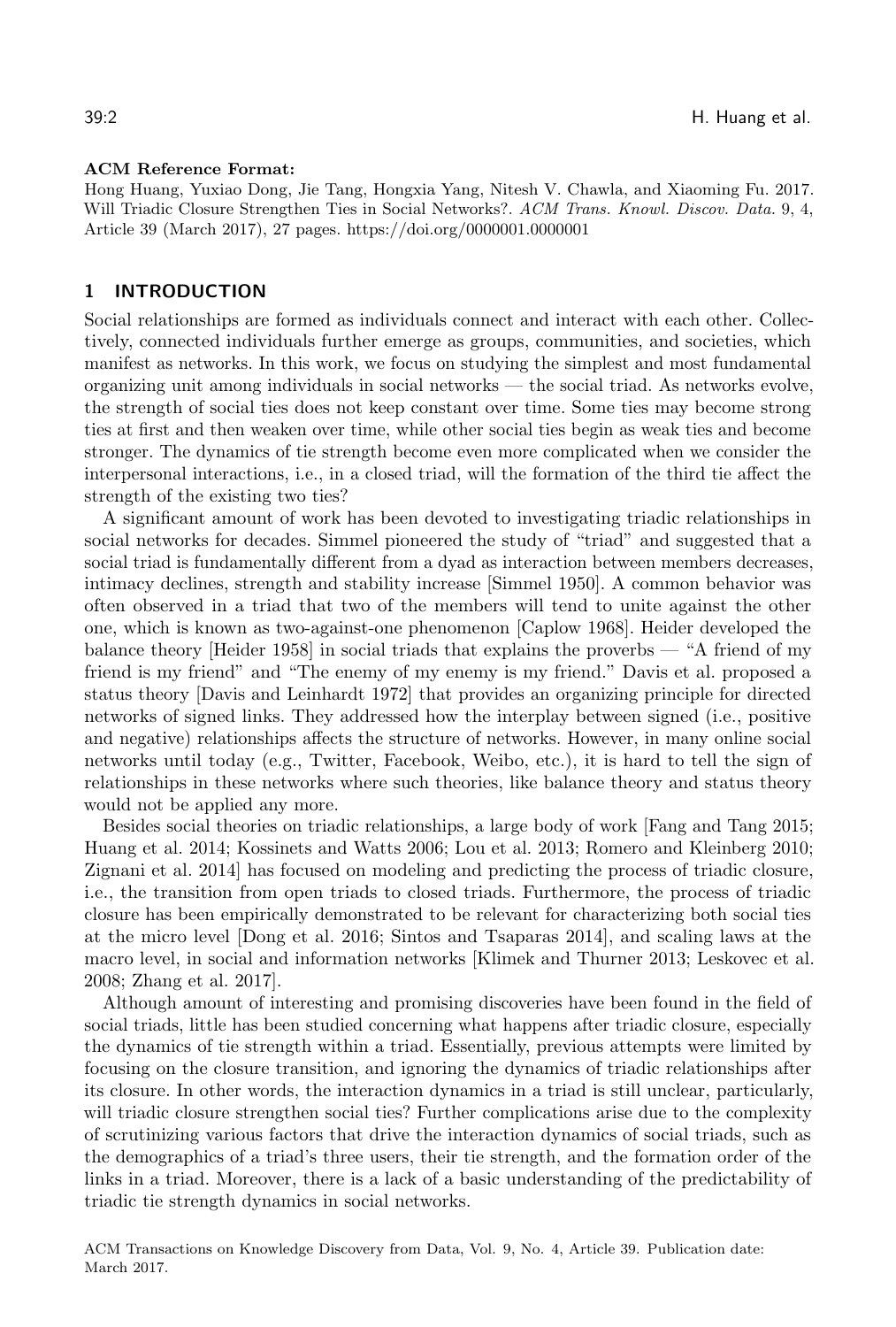#### ACM Reference Format:

Hong Huang, Yuxiao Dong, Jie Tang, Hongxia Yang, Nitesh V. Chawla, and Xiaoming Fu. 2017. Will Triadic Closure Strengthen Ties in Social Networks?. ACM Trans. Knowl. Discov. Data. 9, 4, Article 39 (March 2017), [27](#page-26-0) pages.<https://doi.org/0000001.0000001>

# 1 INTRODUCTION

Social relationships are formed as individuals connect and interact with each other. Collectively, connected individuals further emerge as groups, communities, and societies, which manifest as networks. In this work, we focus on studying the simplest and most fundamental organizing unit among individuals in social networks — the social triad. As networks evolve, the strength of social ties does not keep constant over time. Some ties may become strong ties at first and then weaken over time, while other social ties begin as weak ties and become stronger. The dynamics of tie strength become even more complicated when we consider the interpersonal interactions, i.e., in a closed triad, will the formation of the third tie affect the strength of the existing two ties?

A significant amount of work has been devoted to investigating triadic relationships in social networks for decades. Simmel pioneered the study of "triad" and suggested that a social triad is fundamentally different from a dyad as interaction between members decreases, intimacy declines, strength and stability increase [\[Simmel 1950\]](#page-26-1). A common behavior was often observed in a triad that two of the members will tend to unite against the other one, which is known as two-against-one phenomenon [\[Caplow 1968\]](#page-24-0). Heider developed the balance theory [\[Heider 1958\]](#page-25-0) in social triads that explains the proverbs — "A friend of my friend is my friend" and "The enemy of my enemy is my friend." Davis et al. proposed a status theory [\[Davis and Leinhardt 1972\]](#page-24-1) that provides an organizing principle for directed networks of signed links. They addressed how the interplay between signed (i.e., positive and negative) relationships affects the structure of networks. However, in many online social networks until today (e.g., Twitter, Facebook, Weibo, etc.), it is hard to tell the sign of relationships in these networks where such theories, like balance theory and status theory would not be applied any more.

Besides social theories on triadic relationships, a large body of work [\[Fang and Tang 2015;](#page-24-2) [Huang et al.](#page-25-1) [2014;](#page-25-1) [Kossinets and Watts 2006;](#page-25-2) [Lou et al.](#page-25-3) [2013;](#page-25-3) [Romero and Kleinberg 2010;](#page-25-4) [Zignani et al.](#page-26-2) [2014\]](#page-26-2) has focused on modeling and predicting the process of triadic closure, i.e., the transition from open triads to closed triads. Furthermore, the process of triadic closure has been empirically demonstrated to be relevant for characterizing both social ties at the micro level [\[Dong et al.](#page-24-3) [2016;](#page-24-3) [Sintos and Tsaparas 2014\]](#page-26-3), and scaling laws at the macro level, in social and information networks [\[Klimek and Thurner 2013;](#page-25-5) [Leskovec et al.](#page-25-6) [2008;](#page-25-6) [Zhang et al. 2017\]](#page-26-4).

Although amount of interesting and promising discoveries have been found in the field of social triads, little has been studied concerning what happens after triadic closure, especially the dynamics of tie strength within a triad. Essentially, previous attempts were limited by focusing on the closure transition, and ignoring the dynamics of triadic relationships after its closure. In other words, the interaction dynamics in a triad is still unclear, particularly, will triadic closure strengthen social ties? Further complications arise due to the complexity of scrutinizing various factors that drive the interaction dynamics of social triads, such as the demographics of a triad's three users, their tie strength, and the formation order of the links in a triad. Moreover, there is a lack of a basic understanding of the predictability of triadic tie strength dynamics in social networks.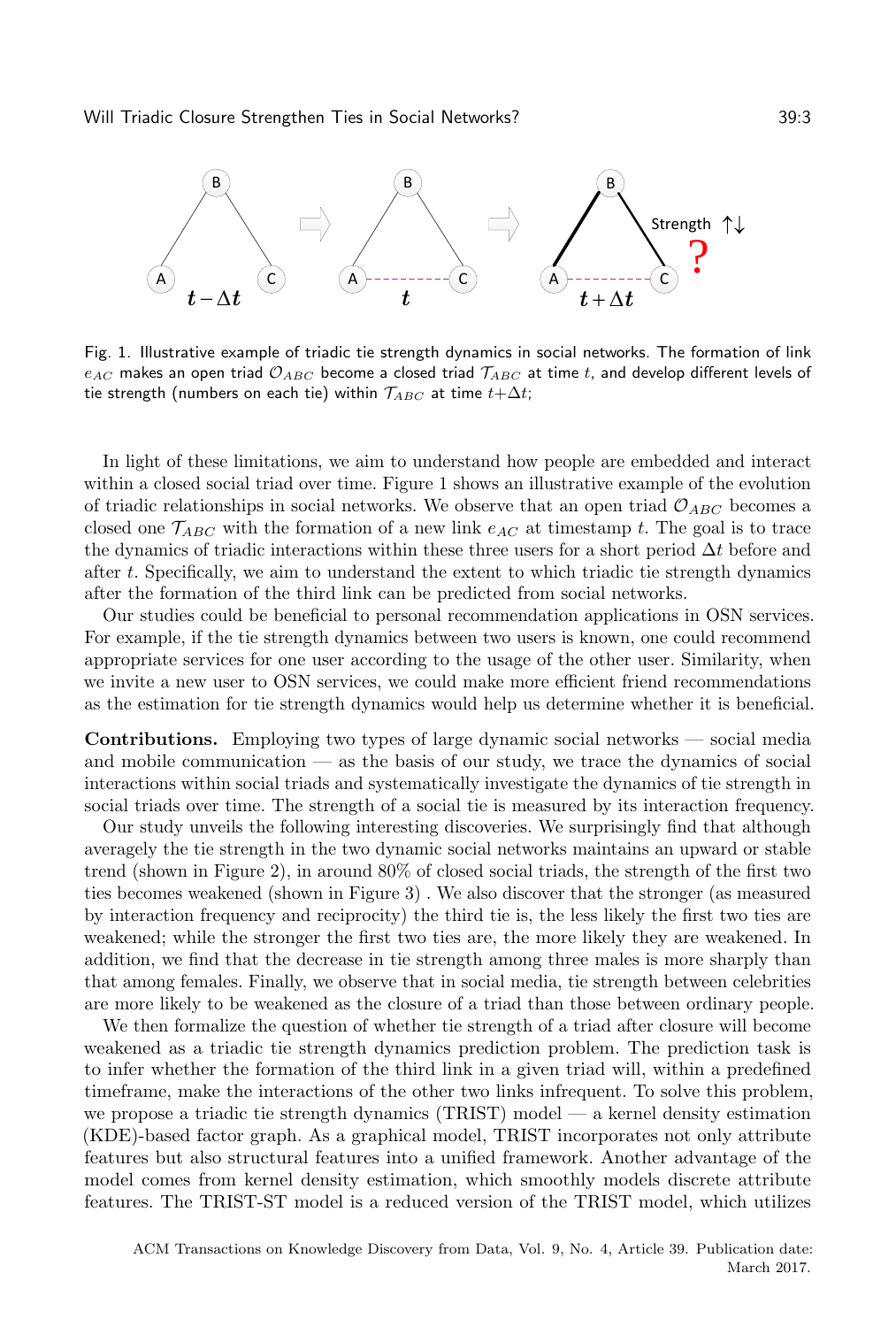<span id="page-2-0"></span>

Fig. 1. Illustrative example of triadic tie strength dynamics in social networks. The formation of link  $e_{AC}$  makes an open triad  $\mathcal{O}_{ABC}$  become a closed triad  $\mathcal{T}_{ABC}$  at time t, and develop different levels of tie strength (numbers on each tie) within  $\mathcal{T}_{ABC}$  at time  $t + \Delta t$ ;

In light of these limitations, we aim to understand how people are embedded and interact within a closed social triad over time. Figure [1](#page-2-0) shows an illustrative example of the evolution of triadic relationships in social networks. We observe that an open triad  $\mathcal{O}_{ABC}$  becomes a closed one  $\mathcal{T}_{ABC}$  with the formation of a new link  $e_{AC}$  at timestamp t. The goal is to trace the dynamics of triadic interactions within these three users for a short period  $\Delta t$  before and after  $t$ . Specifically, we aim to understand the extent to which triadic tie strength dynamics after the formation of the third link can be predicted from social networks.

Our studies could be beneficial to personal recommendation applications in OSN services. For example, if the tie strength dynamics between two users is known, one could recommend appropriate services for one user according to the usage of the other user. Similarity, when we invite a new user to OSN services, we could make more efficient friend recommendations as the estimation for tie strength dynamics would help us determine whether it is beneficial.

Contributions. Employing two types of large dynamic social networks — social media and mobile communication — as the basis of our study, we trace the dynamics of social interactions within social triads and systematically investigate the dynamics of tie strength in social triads over time. The strength of a social tie is measured by its interaction frequency.

Our study unveils the following interesting discoveries. We surprisingly find that although averagely the tie strength in the two dynamic social networks maintains an upward or stable trend (shown in Figure [2\)](#page-3-0), in around 80% of closed social triads, the strength of the first two ties becomes weakened (shown in Figure [3\)](#page-3-1) . We also discover that the stronger (as measured by interaction frequency and reciprocity) the third tie is, the less likely the first two ties are weakened; while the stronger the first two ties are, the more likely they are weakened. In addition, we find that the decrease in tie strength among three males is more sharply than that among females. Finally, we observe that in social media, tie strength between celebrities are more likely to be weakened as the closure of a triad than those between ordinary people.

We then formalize the question of whether tie strength of a triad after closure will become weakened as a triadic tie strength dynamics prediction problem. The prediction task is to infer whether the formation of the third link in a given triad will, within a predefined timeframe, make the interactions of the other two links infrequent. To solve this problem, we propose a triadic tie strength dynamics (TRIST) model — a kernel density estimation (KDE)-based factor graph. As a graphical model, TRIST incorporates not only attribute features but also structural features into a unified framework. Another advantage of the model comes from kernel density estimation, which smoothly models discrete attribute features. The TRIST-ST model is a reduced version of the TRIST model, which utilizes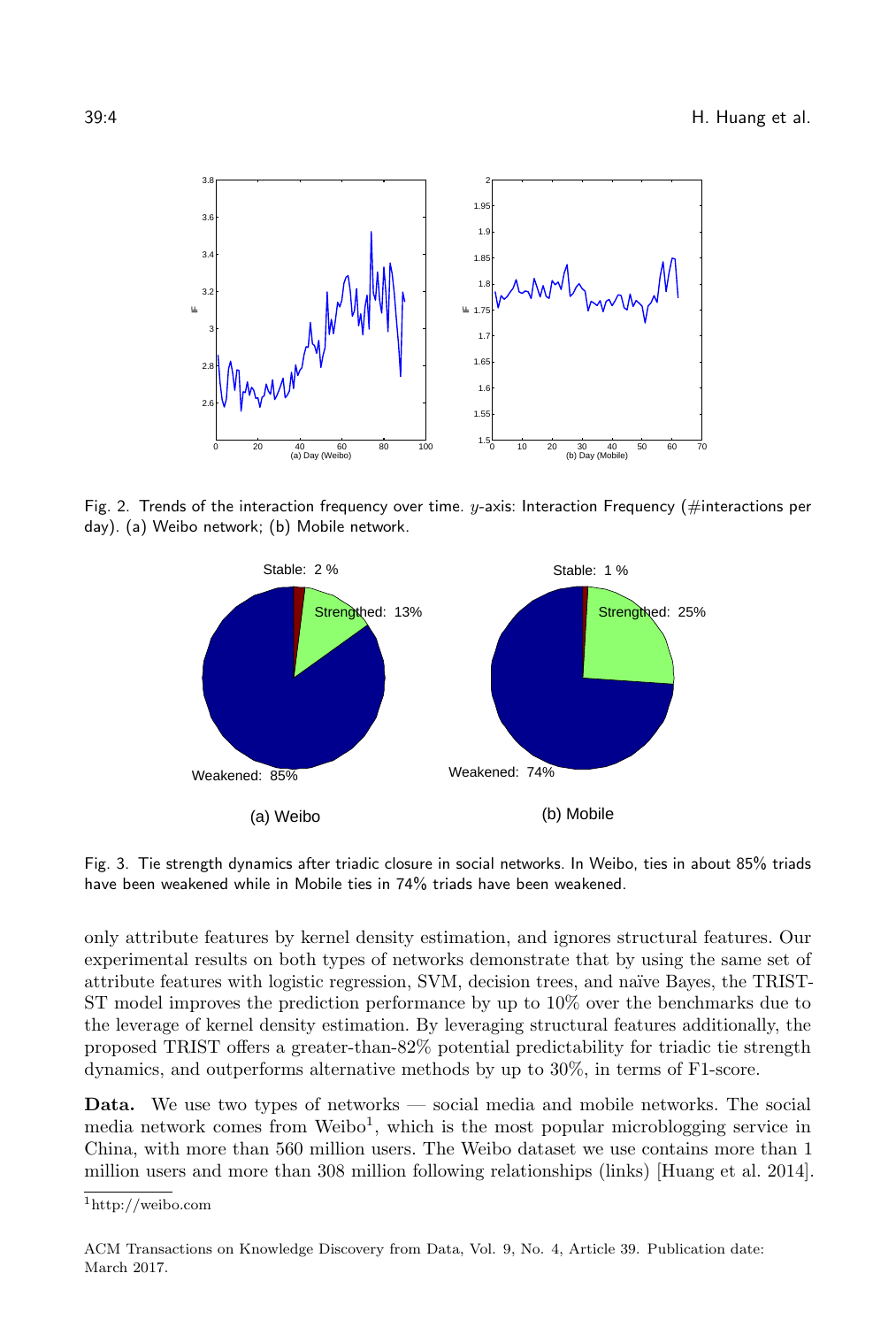<span id="page-3-0"></span>

<span id="page-3-1"></span>Fig. 2. Trends of the interaction frequency over time.  $y$ -axis: Interaction Frequency (#interactions per day). (a) Weibo network; (b) Mobile network.



Fig. 3. Tie strength dynamics after triadic closure in social networks. In Weibo, ties in about 85% triads have been weakened while in Mobile ties in 74% triads have been weakened.

only attribute features by kernel density estimation, and ignores structural features. Our experimental results on both types of networks demonstrate that by using the same set of attribute features with logistic regression, SVM, decision trees, and na¨ıve Bayes, the TRIST-ST model improves the prediction performance by up to 10% over the benchmarks due to the leverage of kernel density estimation. By leveraging structural features additionally, the proposed TRIST offers a greater-than-82% potential predictability for triadic tie strength dynamics, and outperforms alternative methods by up to 30%, in terms of F1-score.

Data. We use two types of networks — social media and mobile networks. The social media network comes from Weibo<sup>[1](#page-3-2)</sup>, which is the most popular microblogging service in China, with more than 560 million users. The Weibo dataset we use contains more than 1 million users and more than 308 million following relationships (links) [\[Huang et al.](#page-25-1) [2014\]](#page-25-1).

<span id="page-3-2"></span><sup>1</sup>http://weibo.com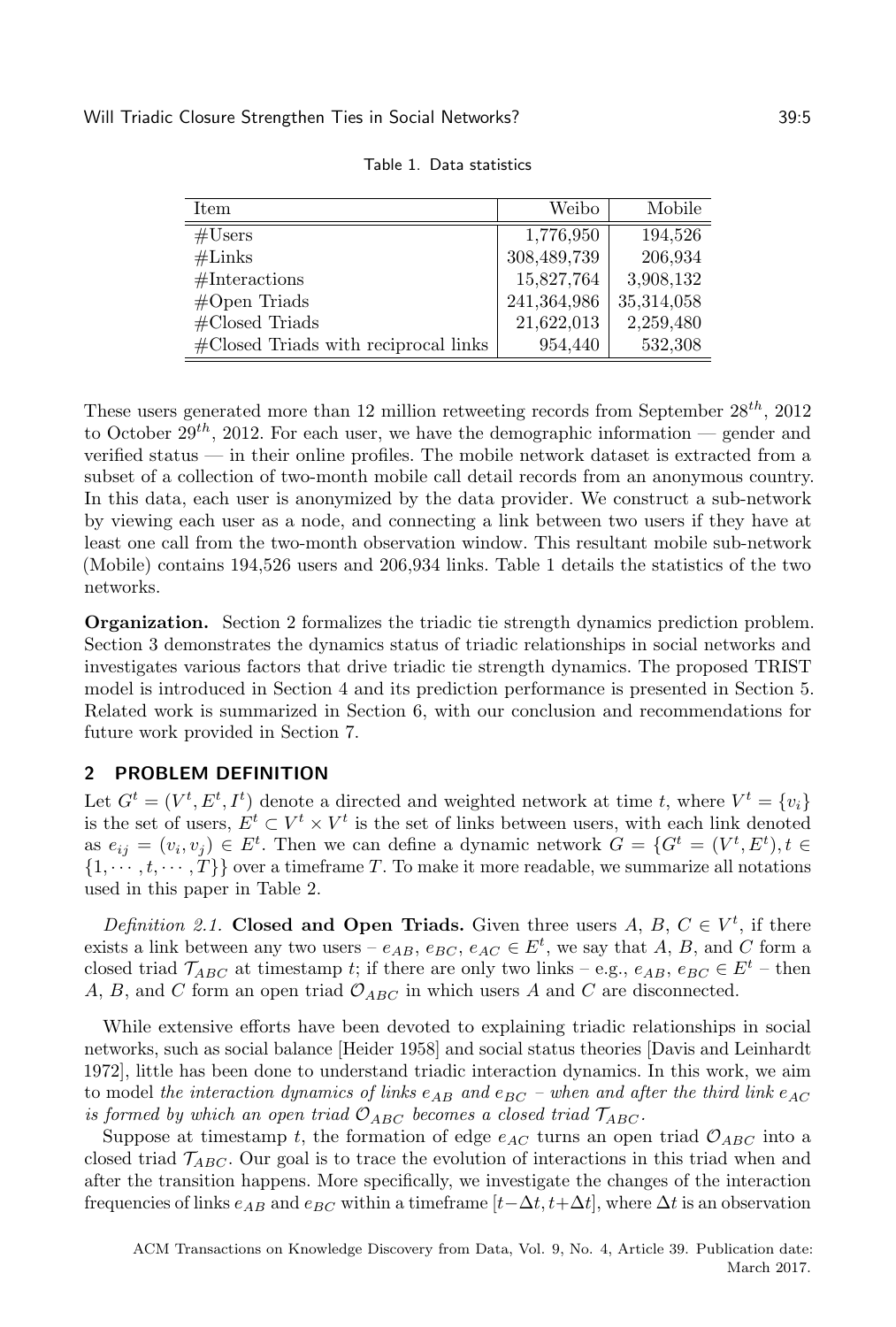<span id="page-4-0"></span>

| Item                                     | Weibo       | Mobile     |
|------------------------------------------|-------------|------------|
| #Users                                   | 1,776,950   | 194,526    |
| $#$ Links                                | 308,489,739 | 206,934    |
| #Interestions                            | 15,827,764  | 3,908,132  |
| $#Open$ Triads                           | 241,364,986 | 35,314,058 |
| $\#\text{Closed Triads}$                 | 21,622,013  | 2,259,480  |
| $\#C$ losed Triads with reciprocal links | 954,440     | 532,308    |

Table 1. Data statistics

These users generated more than 12 million retweeting records from September  $28^{th}$ ,  $2012$ to October  $29^{th}$ , 2012. For each user, we have the demographic information — gender and verified status — in their online profiles. The mobile network dataset is extracted from a subset of a collection of two-month mobile call detail records from an anonymous country. In this data, each user is anonymized by the data provider. We construct a sub-network by viewing each user as a node, and connecting a link between two users if they have at least one call from the two-month observation window. This resultant mobile sub-network (Mobile) contains 194,526 users and 206,934 links. Table [1](#page-4-0) details the statistics of the two networks.

Organization. Section [2](#page-4-1) formalizes the triadic tie strength dynamics prediction problem. Section [3](#page-5-0) demonstrates the dynamics status of triadic relationships in social networks and investigates various factors that drive triadic tie strength dynamics. The proposed TRIST model is introduced in Section [4](#page-12-0) and its prediction performance is presented in Section [5.](#page-18-0) Related work is summarized in Section [6,](#page-22-0) with our conclusion and recommendations for future work provided in Section [7.](#page-24-4)

# <span id="page-4-1"></span>2 PROBLEM DEFINITION

Let  $G^t = (V^t, E^t, I^t)$  denote a directed and weighted network at time t, where  $V^t = \{v_i\}$ is the set of users,  $E^t \subset V^t \times V^t$  is the set of links between users, with each link denoted as  $e_{ij} = (v_i, v_j) \in E^t$ . Then we can define a dynamic network  $G = \{G^t = (V^t, E^t), t \in$  $\{1, \dots, t, \dots, T\}$  over a timeframe T. To make it more readable, we summarize all notations used in this paper in Table [2.](#page-6-0)

<span id="page-4-2"></span>Definition 2.1. Closed and Open Triads. Given three users A, B,  $C \in V^t$ , if there exists a link between any two users –  $e_{AB}$ ,  $e_{BC}$ ,  $e_{AC} \in E^t$ , we say that A, B, and C form a closed triad  $\mathcal{T}_{ABC}$  at timestamp t; if there are only two links – e.g.,  $e_{AB}$ ,  $e_{BC} \in E^t$  – then A, B, and C form an open triad  $\mathcal{O}_{ABC}$  in which users A and C are disconnected.

While extensive efforts have been devoted to explaining triadic relationships in social networks, such as social balance [\[Heider 1958\]](#page-25-0) and social status theories [\[Davis and Leinhardt](#page-24-1) [1972\]](#page-24-1), little has been done to understand triadic interaction dynamics. In this work, we aim to model the interaction dynamics of links  $e_{AB}$  and  $e_{BC}$  – when and after the third link  $e_{AC}$ is formed by which an open triad  $\mathcal{O}_{ABC}$  becomes a closed triad  $\mathcal{T}_{ABC}$ .

Suppose at timestamp t, the formation of edge  $e_{AC}$  turns an open triad  $\mathcal{O}_{ABC}$  into a closed triad  $\mathcal{T}_{ABC}$ . Our goal is to trace the evolution of interactions in this triad when and after the transition happens. More specifically, we investigate the changes of the interaction frequencies of links  $e_{AB}$  and  $e_{BC}$  within a timeframe  $[t-\Delta t, t+\Delta t]$ , where  $\Delta t$  is an observation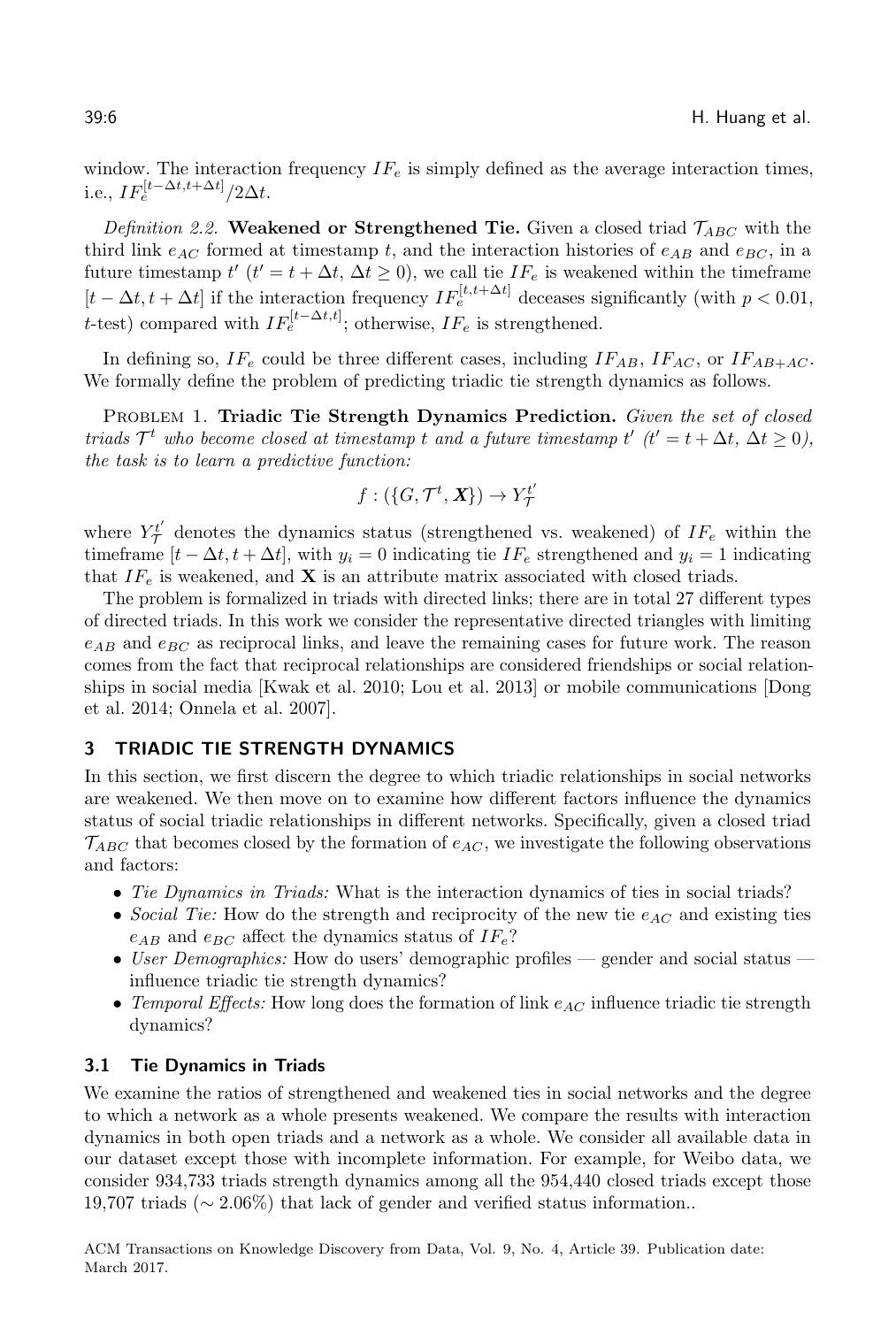window. The interaction frequency  $IF_e$  is simply defined as the average interaction times, i.e.,  $IF_e^{[t-\Delta t,t+\Delta t]}/2\Delta t$ .

<span id="page-5-1"></span>Definition 2.2. Weakened or Strengthened Tie. Given a closed triad  $\mathcal{T}_{ABC}$  with the third link  $e_{AC}$  formed at timestamp t, and the interaction histories of  $e_{AB}$  and  $e_{BC}$ , in a future timestamp  $t'$   $(t' = t + \Delta t, \Delta t \ge 0)$ , we call tie  $IF_e$  is weakened within the timeframe  $[t - \Delta t, t + \Delta t]$  if the interaction frequency  $IF_e^{[t, t + \Delta t]}$  deceases significantly (with  $p < 0.01$ , t-test) compared with  $IF_e^{[t-\Delta t,t]}$ ; otherwise,  $IF_e$  is strengthened.

In defining so,  $IF_e$  could be three different cases, including  $IF_{AB}$ ,  $IF_{AC}$ , or  $IF_{AB+AC}$ . We formally define the problem of predicting triadic tie strength dynamics as follows.

PROBLEM 1. Triadic Tie Strength Dynamics Prediction. Given the set of closed triads  $\mathcal{T}^t$  who become closed at timestamp t and a future timestamp t'  $(t' = t + \Delta t, \Delta t \ge 0)$ , the task is to learn a predictive function:

$$
f: (\{G, \mathcal{T}^t, \mathbf{X}\}) \to Y^{t'}_{\mathcal{T}}
$$

where  $Y^t_\mathcal{T}$  denotes the dynamics status (strengthened vs. weakened) of  $IF_e$  within the timeframe  $[t - \Delta t, t + \Delta t]$ , with  $y_i = 0$  indicating tie  $IF_e$  strengthened and  $y_i = 1$  indicating that  $IF_e$  is weakened, and **X** is an attribute matrix associated with closed triads.

The problem is formalized in triads with directed links; there are in total 27 different types of directed triads. In this work we consider the representative directed triangles with limiting  $e_{AB}$  and  $e_{BC}$  as reciprocal links, and leave the remaining cases for future work. The reason comes from the fact that reciprocal relationships are considered friendships or social relationships in social media [\[Kwak et al.](#page-25-7) [2010;](#page-25-7) [Lou et al.](#page-25-3) [2013\]](#page-25-3) or mobile communications [\[Dong](#page-24-5) [et al. 2014;](#page-24-5) [Onnela et al. 2007\]](#page-25-8).

# <span id="page-5-0"></span>3 TRIADIC TIE STRENGTH DYNAMICS

In this section, we first discern the degree to which triadic relationships in social networks are weakened. We then move on to examine how different factors influence the dynamics status of social triadic relationships in different networks. Specifically, given a closed triad  $\mathcal{T}_{ABC}$  that becomes closed by the formation of  $e_{AC}$ , we investigate the following observations and factors:

- ∙ Tie Dynamics in Triads: What is the interaction dynamics of ties in social triads?
- Social Tie: How do the strength and reciprocity of the new tie  $e_{AC}$  and existing ties  $e_{AB}$  and  $e_{BC}$  affect the dynamics status of  $IF_e$ ?
- ∙ User Demographics: How do users' demographic profiles gender and social status influence triadic tie strength dynamics?
- Temporal Effects: How long does the formation of link  $e_{AC}$  influence triadic tie strength dynamics?

#### 3.1 Tie Dynamics in Triads

We examine the ratios of strengthened and weakened ties in social networks and the degree to which a network as a whole presents weakened. We compare the results with interaction dynamics in both open triads and a network as a whole. We consider all available data in our dataset except those with incomplete information. For example, for Weibo data, we consider 934,733 triads strength dynamics among all the 954,440 closed triads except those 19,707 triads (∼ 2.06%) that lack of gender and verified status information..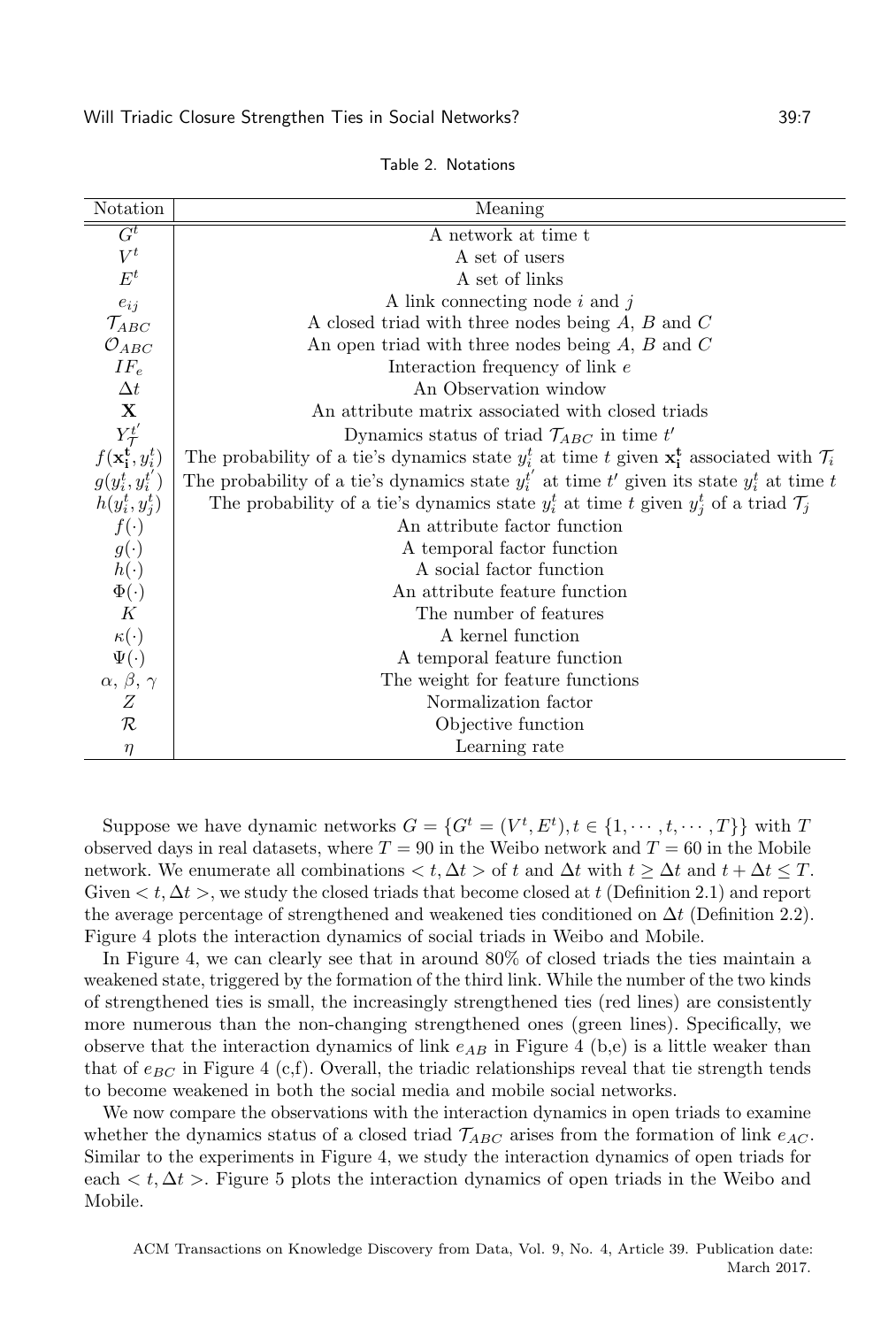<span id="page-6-0"></span>

| Notation                                             | Meaning                                                                                                            |
|------------------------------------------------------|--------------------------------------------------------------------------------------------------------------------|
| $G^t$                                                | A network at time t                                                                                                |
| $V^t$                                                | A set of users                                                                                                     |
| $E^t$                                                | A set of links                                                                                                     |
| $e_{ij}$                                             | A link connecting node $i$ and $j$                                                                                 |
| $\mathcal{T}_{ABC}$                                  | A closed triad with three nodes being $A, B$ and $C$                                                               |
| $\mathcal{O}_{ABC}$                                  | An open triad with three nodes being $A, B$ and $C$                                                                |
| $IF_e$                                               | Interaction frequency of link $e$                                                                                  |
| $\Delta t$                                           | An Observation window                                                                                              |
| $\mathbf X$                                          | An attribute matrix associated with closed triads                                                                  |
|                                                      | Dynamics status of triad $\mathcal{T}_{ABC}$ in time t'                                                            |
| $Y_{\mathcal{T}}^{t'}$<br>$f(\mathbf{x_i^t}, y_i^t)$ | The probability of a tie's dynamics state $y_i^t$ at time t given $\mathbf{x}_i^t$ associated with $\mathcal{T}_i$ |
| $g(y_i^t, y_i^{t'})$                                 | The probability of a tie's dynamics state $y_i^{t'}$ at time t' given its state $y_i^t$ at time t                  |
| $h(y_i^t, y_j^t)$                                    | The probability of a tie's dynamics state $y_i^t$ at time t given $y_j^t$ of a triad $\mathcal{T}_j$               |
| $f(\cdot)$                                           | An attribute factor function                                                                                       |
| $g(\cdot)$                                           | A temporal factor function                                                                                         |
| $h(\cdot)$                                           | A social factor function                                                                                           |
| $\Phi(\cdot)$                                        | An attribute feature function                                                                                      |
| K                                                    | The number of features                                                                                             |
| $\kappa(\cdot)$                                      | A kernel function                                                                                                  |
| $\Psi(\cdot)$                                        | A temporal feature function                                                                                        |
| $\alpha, \beta, \gamma$                              | The weight for feature functions                                                                                   |
| Ζ                                                    | Normalization factor                                                                                               |
| $\cal R$                                             | Objective function                                                                                                 |
| $\eta$                                               | Learning rate                                                                                                      |

Table 2. Notations

Suppose we have dynamic networks  $G = \{G^t = (V^t, E^t), t \in \{1, \dots, t, \dots, T\}\}\$  with T observed days in real datasets, where  $T = 90$  in the Weibo network and  $T = 60$  in the Mobile network. We enumerate all combinations  $\lt t, \Delta t >$  of t and  $\Delta t$  with  $t \geq \Delta t$  and  $t + \Delta t \leq T$ . Given  $\lt t, \Delta t$ , we study the closed triads that become closed at t (Definition [2.1\)](#page-4-2) and report the average percentage of strengthened and weakened ties conditioned on  $\Delta t$  (Definition [2.2\)](#page-5-1). Figure [4](#page-7-0) plots the interaction dynamics of social triads in Weibo and Mobile.

In Figure [4,](#page-7-0) we can clearly see that in around 80% of closed triads the ties maintain a weakened state, triggered by the formation of the third link. While the number of the two kinds of strengthened ties is small, the increasingly strengthened ties (red lines) are consistently more numerous than the non-changing strengthened ones (green lines). Specifically, we observe that the interaction dynamics of link  $e_{AB}$  in Figure [4](#page-7-0) (b,e) is a little weaker than that of  $e_{BC}$  in Figure [4](#page-7-0) (c,f). Overall, the triadic relationships reveal that tie strength tends to become weakened in both the social media and mobile social networks.

We now compare the observations with the interaction dynamics in open triads to examine whether the dynamics status of a closed triad  $\mathcal{T}_{ABC}$  arises from the formation of link  $e_{AC}$ . Similar to the experiments in Figure [4,](#page-7-0) we study the interaction dynamics of open triads for each  $\langle t, \Delta t \rangle$ . Figure [5](#page-8-0) plots the interaction dynamics of open triads in the Weibo and Mobile.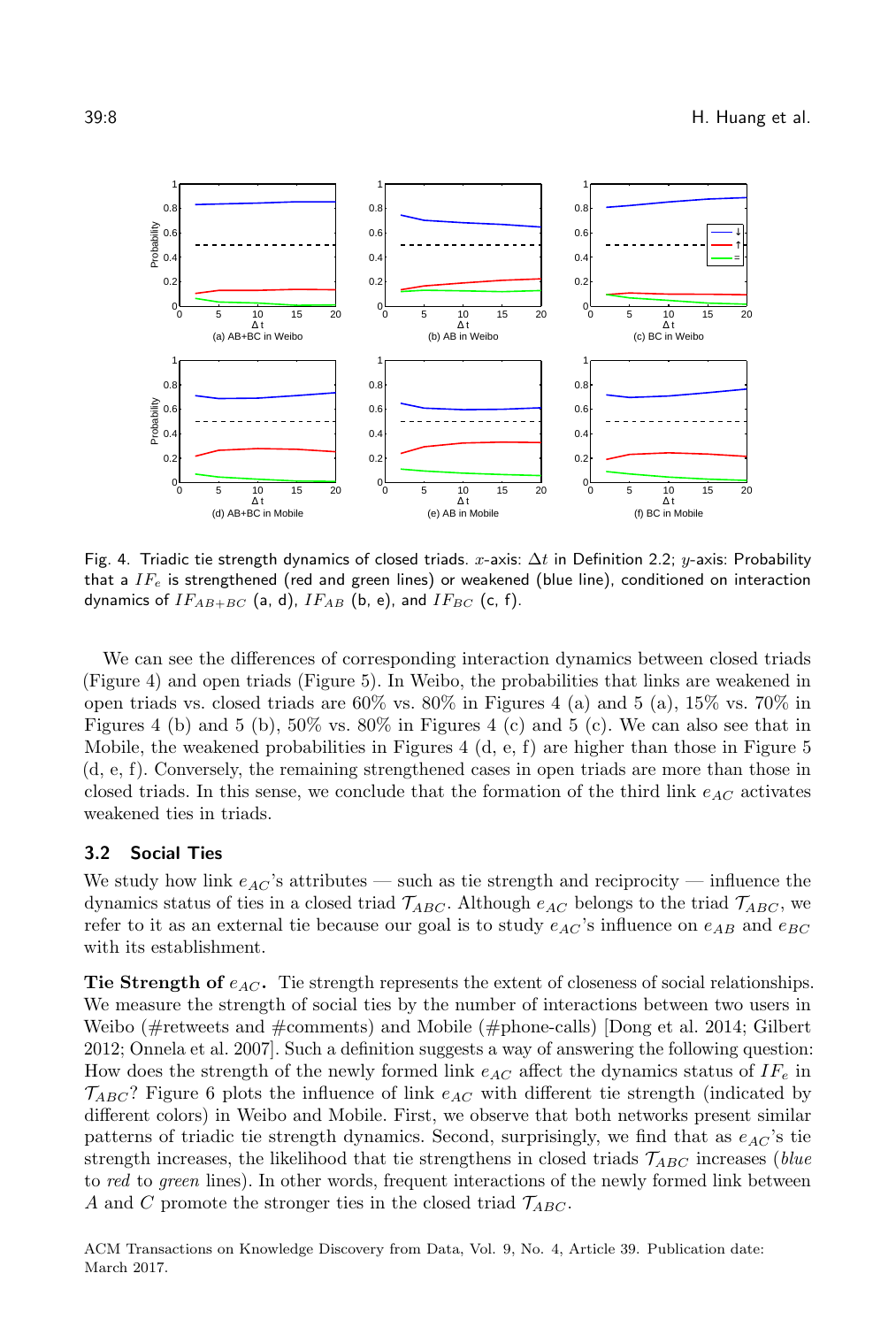<span id="page-7-0"></span>

Fig. 4. Triadic tie strength dynamics of closed triads.  $x$ -axis:  $\Delta t$  in Definition [2.2;](#page-5-1)  $y$ -axis: Probability that a  $IF_e$  is strengthened (red and green lines) or weakened (blue line), conditioned on interaction dynamics of  $IF_{AB+BC}$  (a, d),  $IF_{AB}$  (b, e), and  $IF_{BC}$  (c, f).

We can see the differences of corresponding interaction dynamics between closed triads (Figure [4\)](#page-7-0) and open triads (Figure [5\)](#page-8-0). In Weibo, the probabilities that links are weakened in open triads vs. closed triads are  $60\%$  vs.  $80\%$  in Figures [4](#page-7-0) (a) and [5](#page-8-0) (a),  $15\%$  vs.  $70\%$  in Figures [4](#page-7-0) (b) and [5](#page-8-0) (b), 50% vs. 80% in Figures 4 (c) and 5 (c). We can also see that in Mobile, the weakened probabilities in Figures [4](#page-7-0) (d, e, f) are higher than those in Figure [5](#page-8-0) (d, e, f). Conversely, the remaining strengthened cases in open triads are more than those in closed triads. In this sense, we conclude that the formation of the third link  $e_{AC}$  activates weakened ties in triads.

# 3.2 Social Ties

We study how link  $e_{AC}$ 's attributes — such as tie strength and reciprocity — influence the dynamics status of ties in a closed triad  $\mathcal{T}_{ABC}$ . Although  $e_{AC}$  belongs to the triad  $\mathcal{T}_{ABC}$ , we refer to it as an external tie because our goal is to study  $e_{AC}$ 's influence on  $e_{AB}$  and  $e_{BC}$ with its establishment.

Tie Strength of  $e_{AC}$ . Tie strength represents the extent of closeness of social relationships. We measure the strength of social ties by the number of interactions between two users in Weibo (#retweets and #comments) and Mobile (#phone-calls) [\[Dong et al.](#page-24-5) [2014;](#page-24-5) [Gilbert](#page-25-9) [2012;](#page-25-9) [Onnela et al.](#page-25-8) [2007\]](#page-25-8). Such a definition suggests a way of answering the following question: How does the strength of the newly formed link  $e_{AC}$  affect the dynamics status of  $IF_e$  in  $\mathcal{T}_{ABC}$ ? Figure [6](#page-9-0) plots the influence of link  $e_{AC}$  with different tie strength (indicated by different colors) in Weibo and Mobile. First, we observe that both networks present similar patterns of triadic tie strength dynamics. Second, surprisingly, we find that as  $e_{AC}$ 's tie strength increases, the likelihood that tie strengthens in closed triads  $\mathcal{T}_{ABC}$  increases (blue to red to green lines). In other words, frequent interactions of the newly formed link between A and C promote the stronger ties in the closed triad  $\mathcal{T}_{ABC}$ .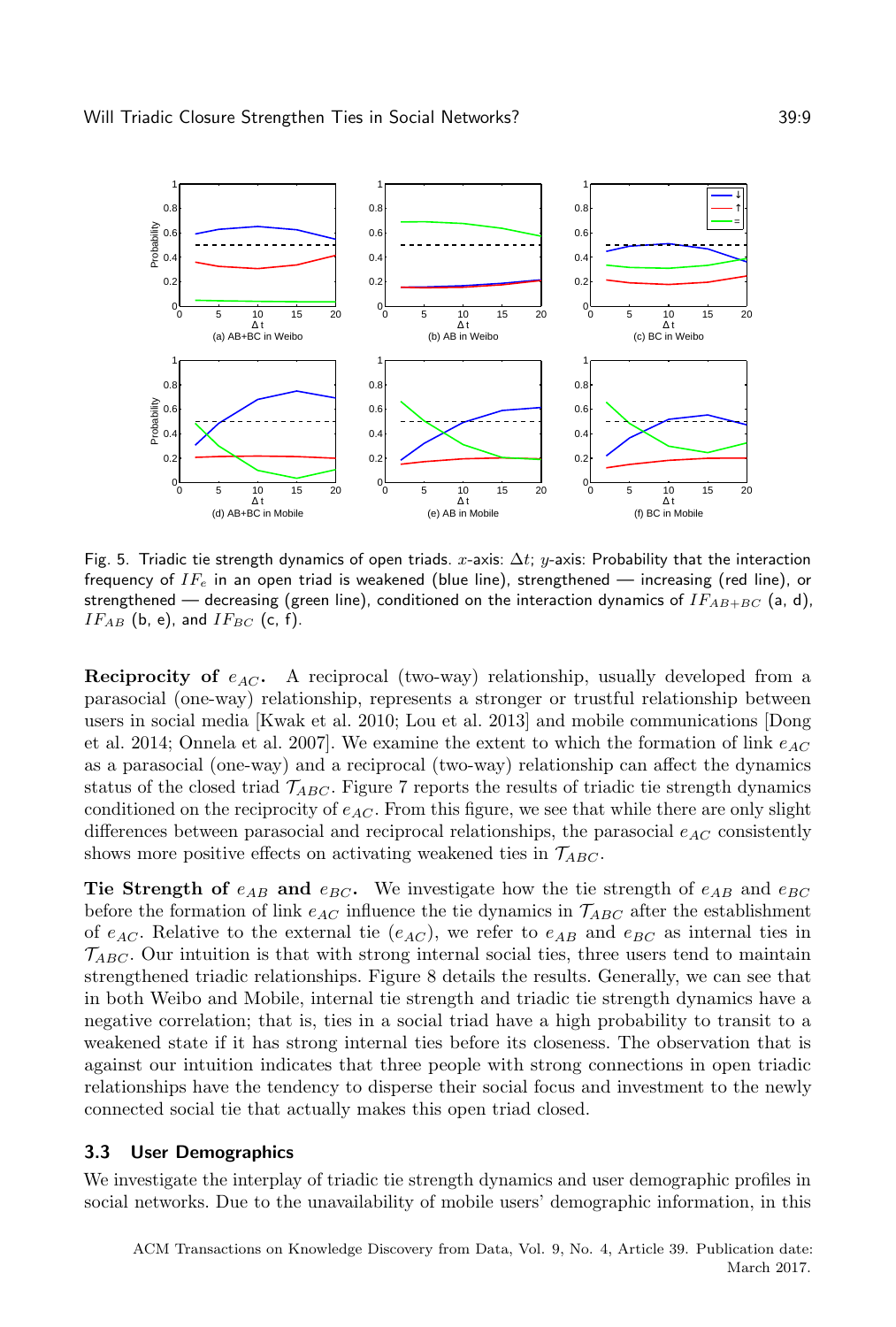<span id="page-8-0"></span>

Fig. 5. Triadic tie strength dynamics of open triads.  $x$ -axis:  $\Delta t$ ;  $y$ -axis: Probability that the interaction frequency of  $IF_e$  in an open triad is weakened (blue line), strengthened — increasing (red line), or strengthened — decreasing (green line), conditioned on the interaction dynamics of  $IF_{AB+BC}$  (a, d),  $IF_{AB}$  (b, e), and  $IF_{BC}$  (c, f).

**Reciprocity of**  $e_{AC}$ . A reciprocal (two-way) relationship, usually developed from a parasocial (one-way) relationship, represents a stronger or trustful relationship between users in social media [\[Kwak et al.](#page-25-7) [2010;](#page-25-7) [Lou et al.](#page-25-3) [2013\]](#page-25-3) and mobile communications [\[Dong](#page-24-5) [et al.](#page-24-5) [2014;](#page-24-5) [Onnela et al.](#page-25-8) [2007\]](#page-25-8). We examine the extent to which the formation of link  $e_{AC}$ as a parasocial (one-way) and a reciprocal (two-way) relationship can affect the dynamics status of the closed triad  $T_{ABC}$ . Figure [7](#page-9-1) reports the results of triadic tie strength dynamics conditioned on the reciprocity of  $e_{AC}$ . From this figure, we see that while there are only slight differences between parasocial and reciprocal relationships, the parasocial  $e_{AC}$  consistently shows more positive effects on activating weakened ties in  $\mathcal{T}_{ABC}$ .

Tie Strength of  $e_{AB}$  and  $e_{BC}$ . We investigate how the tie strength of  $e_{AB}$  and  $e_{BC}$ before the formation of link  $e_{AC}$  influence the tie dynamics in  $\mathcal{T}_{ABC}$  after the establishment of  $e_{AC}$ . Relative to the external tie  $(e_{AC})$ , we refer to  $e_{AB}$  and  $e_{BC}$  as internal ties in  $\mathcal{T}_{ABC}$ . Our intuition is that with strong internal social ties, three users tend to maintain strengthened triadic relationships. Figure [8](#page-10-0) details the results. Generally, we can see that in both Weibo and Mobile, internal tie strength and triadic tie strength dynamics have a negative correlation; that is, ties in a social triad have a high probability to transit to a weakened state if it has strong internal ties before its closeness. The observation that is against our intuition indicates that three people with strong connections in open triadic relationships have the tendency to disperse their social focus and investment to the newly connected social tie that actually makes this open triad closed.

# 3.3 User Demographics

We investigate the interplay of triadic tie strength dynamics and user demographic profiles in social networks. Due to the unavailability of mobile users' demographic information, in this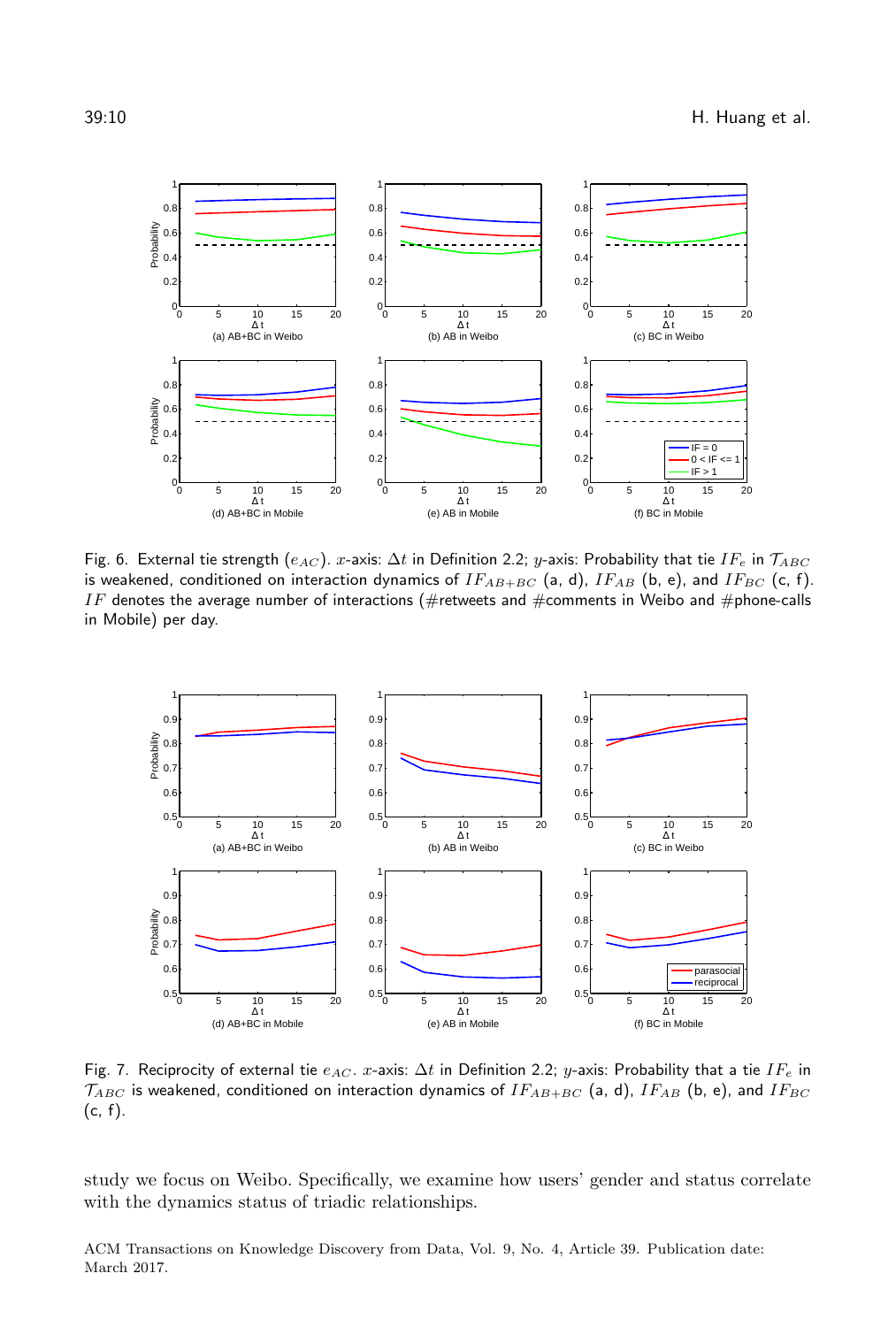<span id="page-9-0"></span>

Fig. 6. External tie strength ( $e_{AC}$ ). x-axis:  $\Delta t$  in Definition [2.2;](#page-5-1) y-axis: Probability that tie  $IF_e$  in  $T_{ABC}$ is weakened, conditioned on interaction dynamics of  $IF_{AB+BC}$  (a, d),  $IF_{AB}$  (b, e), and  $IF_{BC}$  (c, f). IF denotes the average number of interactions (#retweets and #comments in Weibo and #phone-calls in Mobile) per day.

<span id="page-9-1"></span>

Fig. 7. Reciprocity of external tie  $e_{AC}$ . x-axis:  $\Delta t$  in Definition [2.2;](#page-5-1) y-axis: Probability that a tie  $IF_e$  in  $\mathcal{T}_{ABC}$  is weakened, conditioned on interaction dynamics of  $IF_{AB+BC}$  (a, d),  $IF_{AB}$  (b, e), and  $IF_{BC}$ (c, f).

study we focus on Weibo. Specifically, we examine how users' gender and status correlate with the dynamics status of triadic relationships.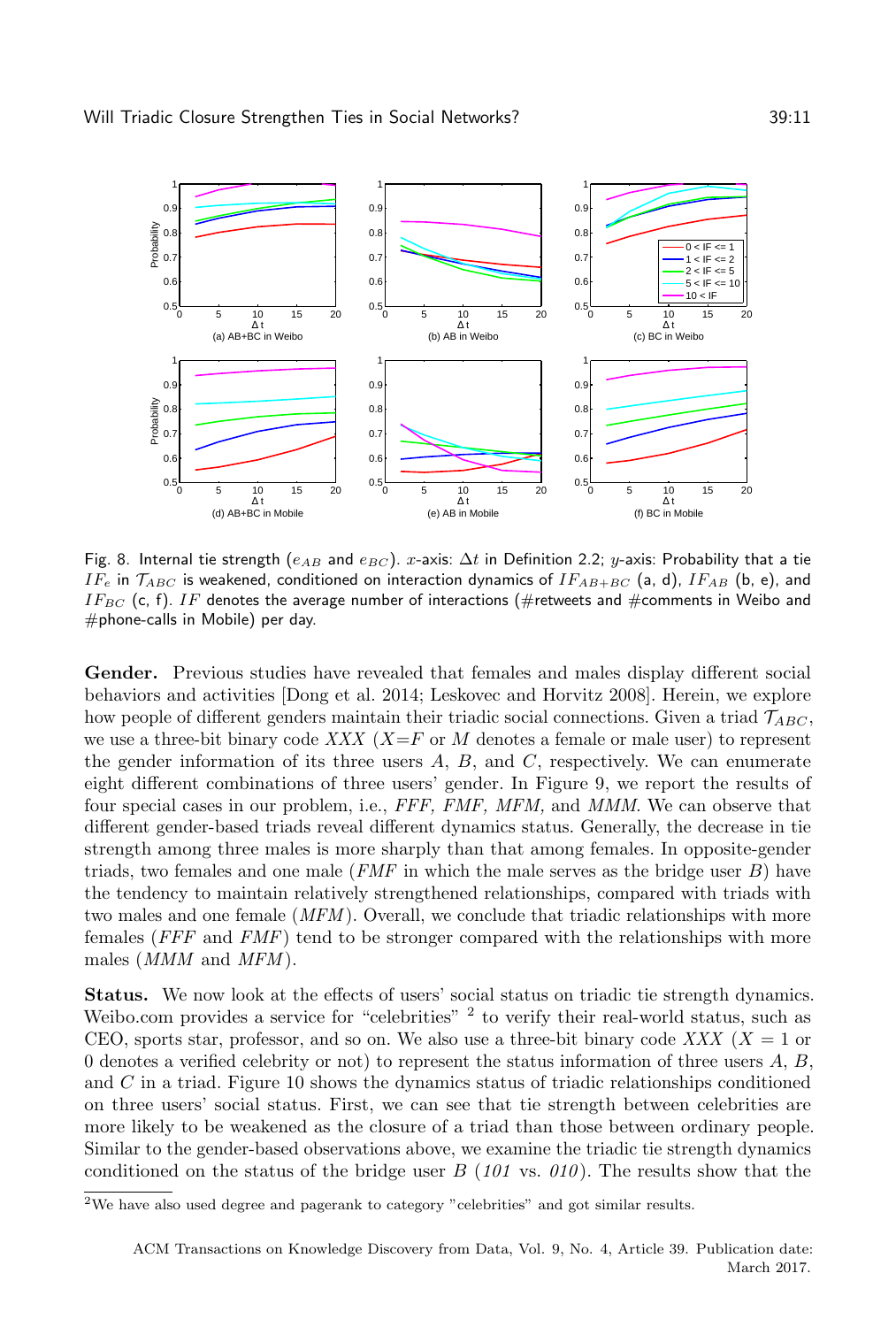<span id="page-10-0"></span>

Fig. 8. Internal tie strength ( $e_{AB}$  and  $e_{BC}$ ). x-axis:  $\Delta t$  in Definition [2.2;](#page-5-1) y-axis: Probability that a tie  $IF_e$  in  $\mathcal{T}_{ABC}$  is weakened, conditioned on interaction dynamics of  $IF_{AB+BC}$  (a, d),  $IF_{AB}$  (b, e), and IF<sub>BC</sub> (c, f). IF denotes the average number of interactions (#retweets and #comments in Weibo and  $#$ phone-calls in Mobile) per day.

Gender. Previous studies have revealed that females and males display different social behaviors and activities [\[Dong et al.](#page-24-5) [2014;](#page-24-5) [Leskovec and Horvitz 2008\]](#page-25-10). Herein, we explore how people of different genders maintain their triadic social connections. Given a triad  $\mathcal{T}_{ABC}$ , we use a three-bit binary code XXX ( $X = F$  or M denotes a female or male user) to represent the gender information of its three users  $A, B$ , and  $C$ , respectively. We can enumerate eight different combinations of three users' gender. In Figure [9,](#page-11-0) we report the results of four special cases in our problem, i.e., FFF, FMF, MFM, and MMM. We can observe that different gender-based triads reveal different dynamics status. Generally, the decrease in tie strength among three males is more sharply than that among females. In opposite-gender triads, two females and one male  $(FMF$  in which the male serves as the bridge user  $B$ ) have the tendency to maintain relatively strengthened relationships, compared with triads with two males and one female  $(MFM)$ . Overall, we conclude that triadic relationships with more females (FFF and FMF) tend to be stronger compared with the relationships with more males (*MMM* and *MFM*).

Status. We now look at the effects of users' social status on triadic tie strength dynamics. Weibo.com provides a service for "celebrities"  $2$  to verify their real-world status, such as CEO, sports star, professor, and so on. We also use a three-bit binary code XXX ( $X = 1$  or 0 denotes a verified celebrity or not) to represent the status information of three users  $A, B$ , and  $C$  in a triad. Figure [10](#page-11-1) shows the dynamics status of triadic relationships conditioned on three users' social status. First, we can see that tie strength between celebrities are more likely to be weakened as the closure of a triad than those between ordinary people. Similar to the gender-based observations above, we examine the triadic tie strength dynamics conditioned on the status of the bridge user  $B(101 \text{ vs. } 010)$ . The results show that the

<span id="page-10-1"></span> $^{2}\mathrm{We}$  have also used degree and pagerank to category "celebrities" and got similar results.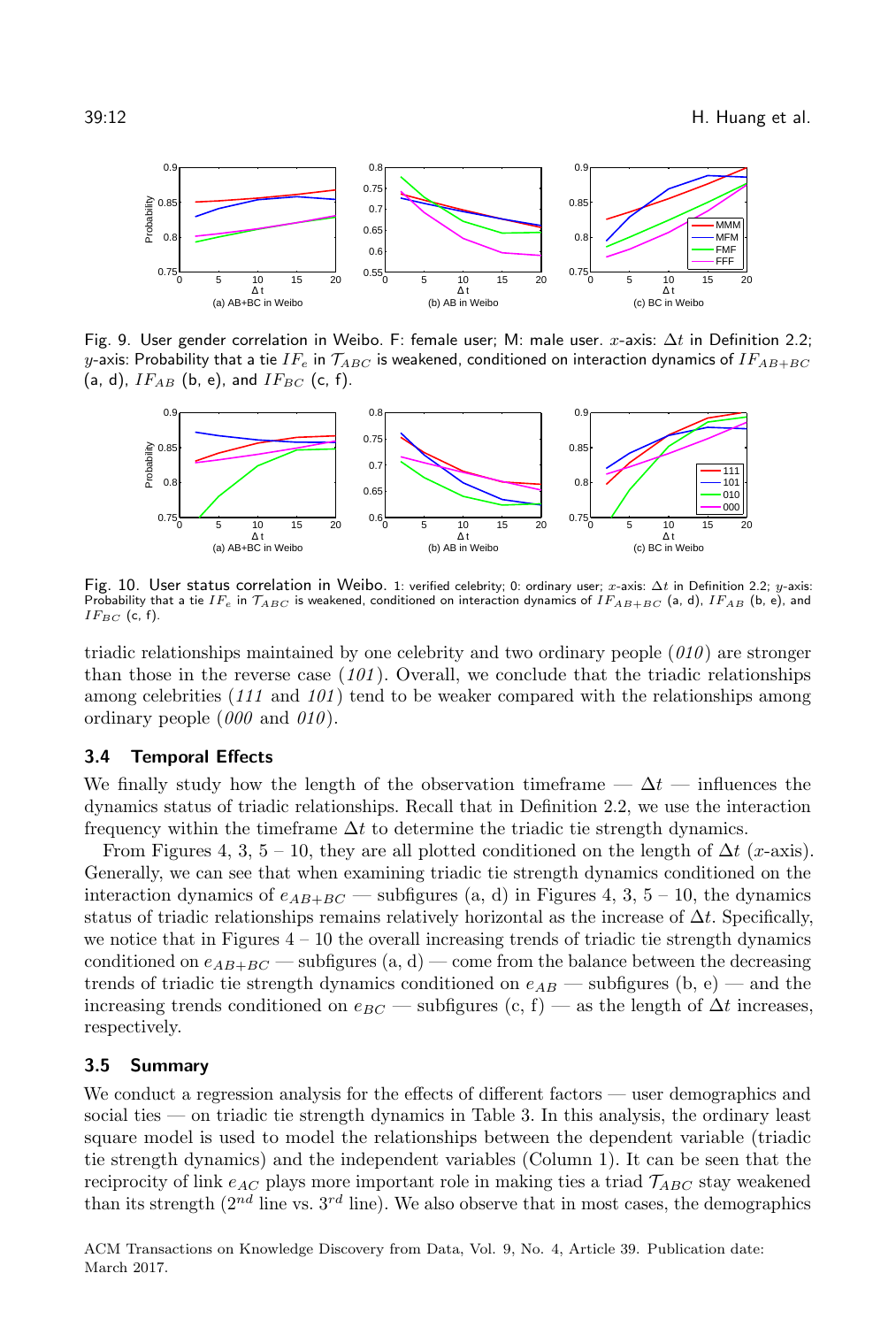<span id="page-11-0"></span>

Fig. 9. User gender correlation in Weibo. F: female user; M: male user.  $x$ -axis:  $\Delta t$  in Definition [2.2;](#page-5-1) y-axis: Probability that a tie IF<sub>e</sub> in  $\mathcal{T}_{ABC}$  is weakened, conditioned on interaction dynamics of IFAB+BC (a, d),  $IF_{AB}$  (b, e), and  $IF_{BC}$  (c, f).

<span id="page-11-1"></span>

Fig. 10. User status correlation in Weibo. 1: verified celebrity; 0: ordinary user; x-axis: Δt in Definition [2.2;](#page-5-1)  $y$ -axis: Probability that a tie IF<sub>e</sub> in  $\mathcal{T}_{ABC}$  is weakened, conditioned on interaction dynamics of IFAB+BC (a, d), IFAB (b, e), and  $IF_{BC}$  (c, f).

triadic relationships maintained by one celebrity and two ordinary people  $(010)$  are stronger than those in the reverse case  $(101)$ . Overall, we conclude that the triadic relationships among celebrities  $(111 \text{ and } 101)$  tend to be weaker compared with the relationships among ordinary people  $(000 \text{ and } 010)$ .

## 3.4 Temporal Effects

We finally study how the length of the observation timeframe —  $\Delta t$  — influences the dynamics status of triadic relationships. Recall that in Definition [2.2,](#page-5-1) we use the interaction frequency within the timeframe  $\Delta t$  to determine the triadic tie strength dynamics.

From Figures [4,](#page-7-0) 3, 5 – [10,](#page-11-1) they are all plotted conditioned on the length of  $\Delta t$  (x-axis). Generally, we can see that when examining triadic tie strength dynamics conditioned on the interaction dynamics of  $e_{AB+BC}$  — subfigures (a, d) in Figures [4,](#page-7-0) 3, 5 – [10,](#page-11-1) the dynamics status of triadic relationships remains relatively horizontal as the increase of  $\Delta t$ . Specifically, we notice that in Figures  $4 - 10$  $4 - 10$  the overall increasing trends of triadic tie strength dynamics conditioned on  $e_{AB+BC}$  — subfigures (a, d) — come from the balance between the decreasing trends of triadic tie strength dynamics conditioned on  $e_{AB}$  — subfigures (b, e) — and the increasing trends conditioned on  $e_{BC}$  — subfigures (c, f) — as the length of  $\Delta t$  increases, respectively.

#### 3.5 Summary

We conduct a regression analysis for the effects of different factors — user demographics and social ties — on triadic tie strength dynamics in Table [3.](#page-12-1) In this analysis, the ordinary least square model is used to model the relationships between the dependent variable (triadic tie strength dynamics) and the independent variables (Column 1). It can be seen that the reciprocity of link  $e_{AC}$  plays more important role in making ties a triad  $\mathcal{T}_{ABC}$  stay weakened than its strength  $(2^{nd}$  line vs.  $3^{rd}$  line). We also observe that in most cases, the demographics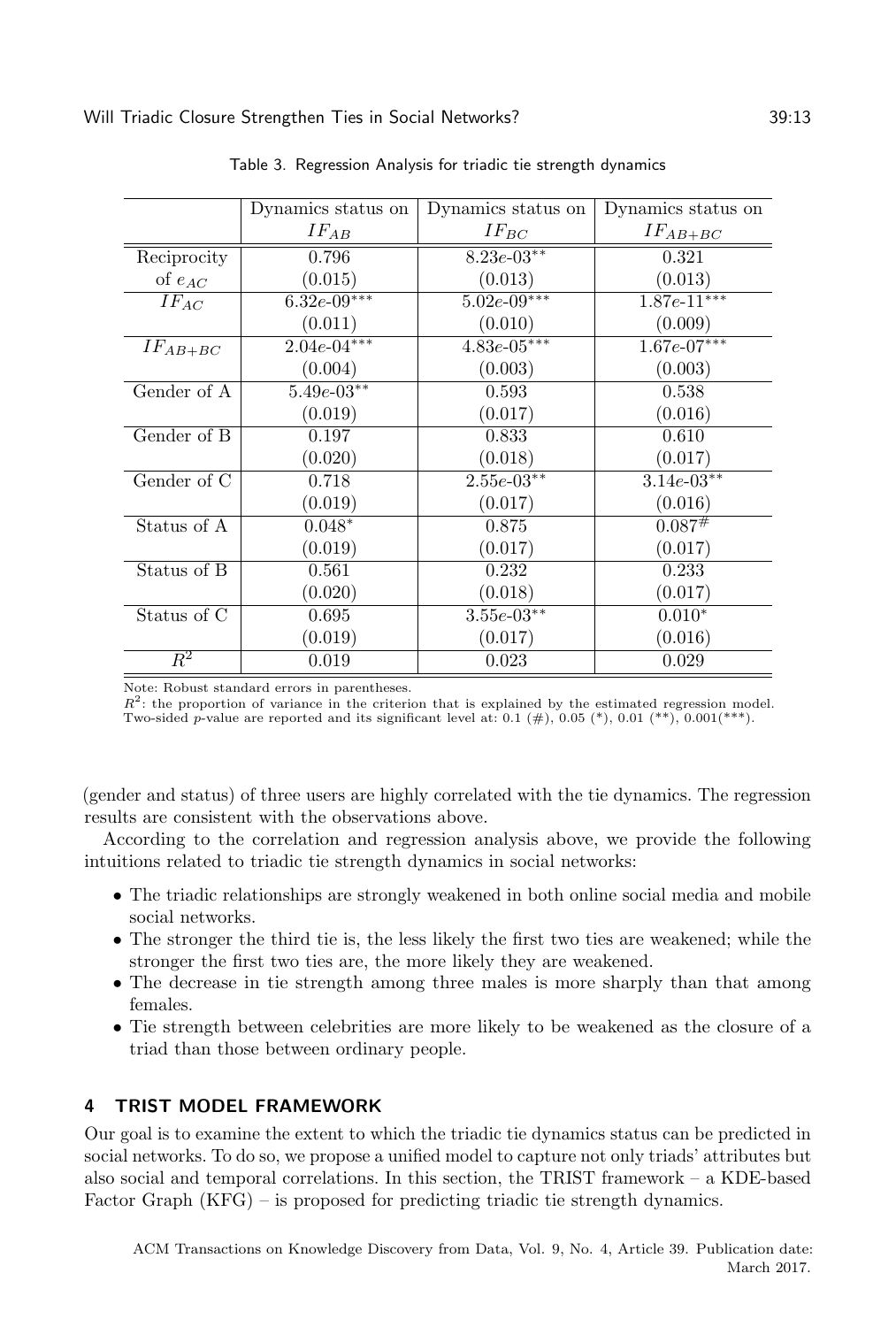<span id="page-12-1"></span>

|                  | Dynamics status on | Dynamics status on | Dynamics status on |
|------------------|--------------------|--------------------|--------------------|
|                  | $IF_{AB}$          | $IF_{BC}$          | $IF_{AB+BC}$       |
| Reciprocity      | 0.796              | $8.23e-03**$       | 0.321              |
| of $e_{AC}$      | (0.015)            | (0.013)            | (0.013)            |
| $IF_{AC}$        | $6.32e-09***$      | $5.02e-09***$      | $1.87e-11***$      |
|                  | (0.011)            | (0.010)            | (0.009)            |
| $IF_{AB+BC}$     | $2.04e-04***$      | $4.83e-05***$      | $1.67e-07***$      |
|                  | (0.004)            | (0.003)            | (0.003)            |
| Gender of A      | $5.49e-03**$       | 0.593              | 0.538              |
|                  | (0.019)            | (0.017)            | (0.016)            |
| Gender of B      | 0.197              | 0.833              | 0.610              |
|                  | (0.020)            | (0.018)            | (0.017)            |
| Gender of C      | 0.718              | $2.55e-03**$       | $3.14e-03**$       |
|                  | (0.019)            | (0.017)            | (0.016)            |
| Status of A      | $0.048*$           | 0.875              | 0.087#             |
|                  | (0.019)            | (0.017)            | (0.017)            |
| Status of B      | 0.561              | 0.232              | 0.233              |
|                  | (0.020)            | (0.018)            | (0.017)            |
| Status of C      | 0.695              | $3.55e-03**$       | $0.010*$           |
|                  | (0.019)            | (0.017)            | (0.016)            |
| $\overline{R^2}$ | 0.019              | 0.023              | 0.029              |

Table 3. Regression Analysis for triadic tie strength dynamics

Note: Robust standard errors in parentheses.

 $R^2$ : the proportion of variance in the criterion that is explained by the estimated regression model. Two-sided p-value are reported and its significant level at: 0.1  $(\#)$ , 0.05  $(*)$ , 0.01  $(**)$ , 0.001 $(**)$ .

(gender and status) of three users are highly correlated with the tie dynamics. The regression results are consistent with the observations above.

According to the correlation and regression analysis above, we provide the following intuitions related to triadic tie strength dynamics in social networks:

- ∙ The triadic relationships are strongly weakened in both online social media and mobile social networks.
- ∙ The stronger the third tie is, the less likely the first two ties are weakened; while the stronger the first two ties are, the more likely they are weakened.
- ∙ The decrease in tie strength among three males is more sharply than that among females.
- ∙ Tie strength between celebrities are more likely to be weakened as the closure of a triad than those between ordinary people.

# <span id="page-12-0"></span>4 TRIST MODEL FRAMEWORK

Our goal is to examine the extent to which the triadic tie dynamics status can be predicted in social networks. To do so, we propose a unified model to capture not only triads' attributes but also social and temporal correlations. In this section, the TRIST framework – a KDE-based Factor Graph (KFG) – is proposed for predicting triadic tie strength dynamics.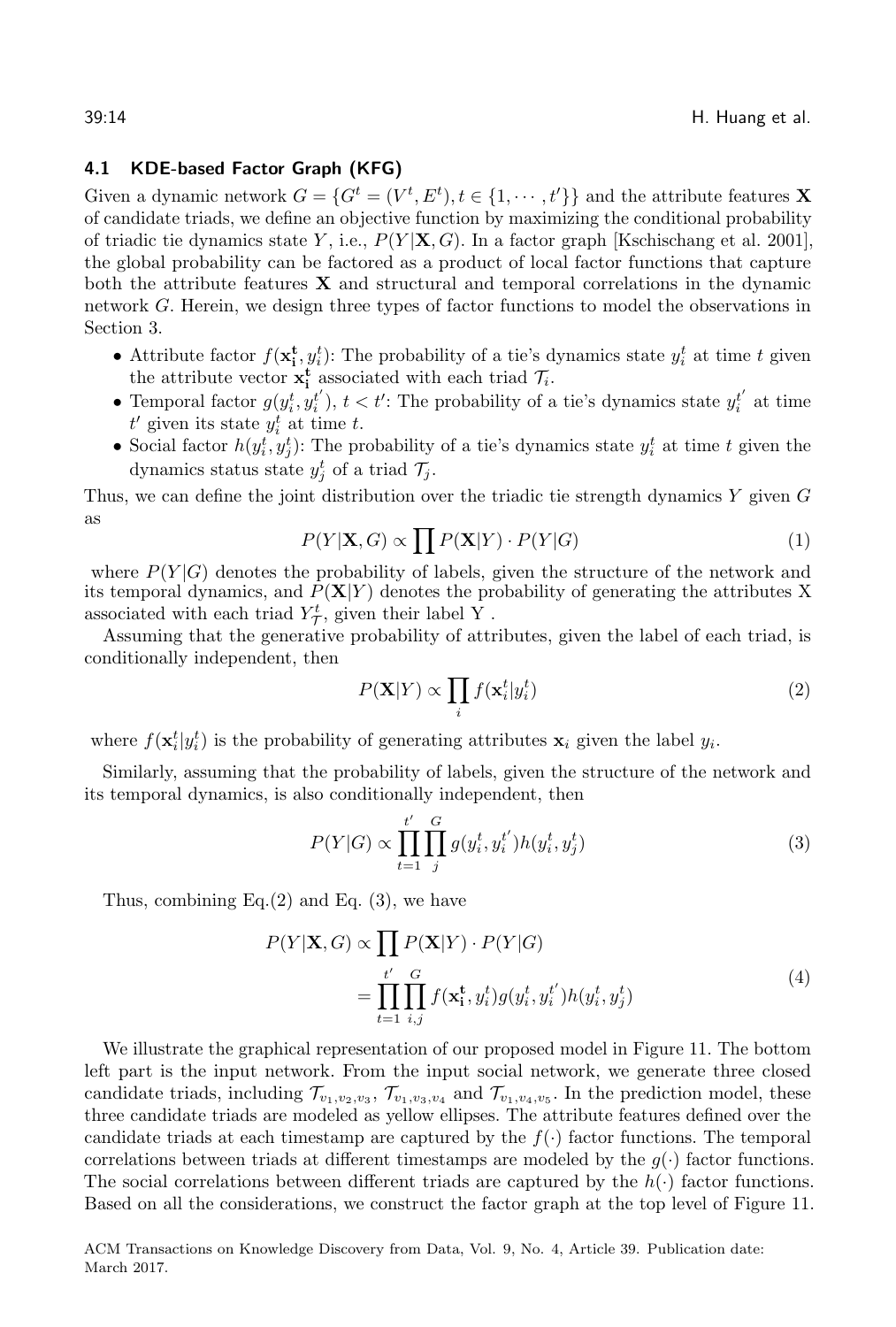# <span id="page-13-2"></span>4.1 KDE-based Factor Graph (KFG)

Given a dynamic network  $G = \{G^t = (V^t, E^t), t \in \{1, \dots, t'\}\}\$ and the attribute features **X** of candidate triads, we define an objective function by maximizing the conditional probability of triadic tie dynamics state Y, i.e.,  $P(Y|\mathbf{X}, G)$ . In a factor graph [\[Kschischang et al.](#page-25-11) [2001\]](#page-25-11), the global probability can be factored as a product of local factor functions that capture both the attribute features X and structural and temporal correlations in the dynamic network G. Herein, we design three types of factor functions to model the observations in Section [3.](#page-5-0)

- Attribute factor  $f(\mathbf{x_i^t}, y_i^t)$ : The probability of a tie's dynamics state  $y_i^t$  at time t given the attribute vector  $\mathbf{x}_i^t$  associated with each triad  $\mathcal{T}_i$ .
- Temporal factor  $g(y_i^t, y_i^{t'})$ ,  $t < t'$ : The probability of a tie's dynamics state  $y_i^{t'}$  at time  $t'$  given its state  $y_i^t$  at time t.
- Social factor  $h(y_i^t, y_j^t)$ : The probability of a tie's dynamics state  $y_i^t$  at time t given the dynamics status state  $y_j^t$  of a triad  $\mathcal{T}_j$ .

Thus, we can define the joint distribution over the triadic tie strength dynamics  $Y$  given  $G$ as

$$
P(Y|\mathbf{X}, G) \propto \prod P(\mathbf{X}|Y) \cdot P(Y|G)
$$
\n(1)

where  $P(Y|G)$  denotes the probability of labels, given the structure of the network and its temporal dynamics, and  $\tilde{P}(\mathbf{X}|Y)$  denotes the probability of generating the attributes X associated with each triad  $Y^t_{\mathcal{T}}$ , given their label Y.

Assuming that the generative probability of attributes, given the label of each triad, is conditionally independent, then

<span id="page-13-0"></span>
$$
P(\mathbf{X}|Y) \propto \prod_{i} f(\mathbf{x}_i^t | y_i^t)
$$
 (2)

where  $f(\mathbf{x}_i^t|y_i^t)$  is the probability of generating attributes  $\mathbf{x}_i$  given the label  $y_i$ .

Similarly, assuming that the probability of labels, given the structure of the network and its temporal dynamics, is also conditionally independent, then

<span id="page-13-1"></span>
$$
P(Y|G) \propto \prod_{t=1}^{t'} \prod_{j}^{G} g(y_i^t, y_i^{t'}) h(y_i^t, y_j^t)
$$
\n(3)

Thus, combining  $Eq.(2)$  $Eq.(2)$  and Eq.  $(3)$ , we have

$$
P(Y|\mathbf{X}, G) \propto \prod_{t'} P(\mathbf{X}|Y) \cdot P(Y|G)
$$
  
= 
$$
\prod_{t=1}^{t'} \prod_{i,j}^{G} f(\mathbf{x}_i^t, y_i^t) g(y_i^t, y_i^{t'}) h(y_i^t, y_j^t)
$$
 (4)

We illustrate the graphical representation of our proposed model in Figure [11.](#page-14-0) The bottom left part is the input network. From the input social network, we generate three closed candidate triads, including  $\mathcal{T}_{v_1,v_2,v_3}$ ,  $\mathcal{T}_{v_1,v_3,v_4}$  and  $\mathcal{T}_{v_1,v_4,v_5}$ . In the prediction model, these three candidate triads are modeled as yellow ellipses. The attribute features defined over the candidate triads at each timestamp are captured by the  $f(\cdot)$  factor functions. The temporal correlations between triads at different timestamps are modeled by the  $g(\cdot)$  factor functions. The social correlations between different triads are captured by the  $h(\cdot)$  factor functions. Based on all the considerations, we construct the factor graph at the top level of Figure [11.](#page-14-0)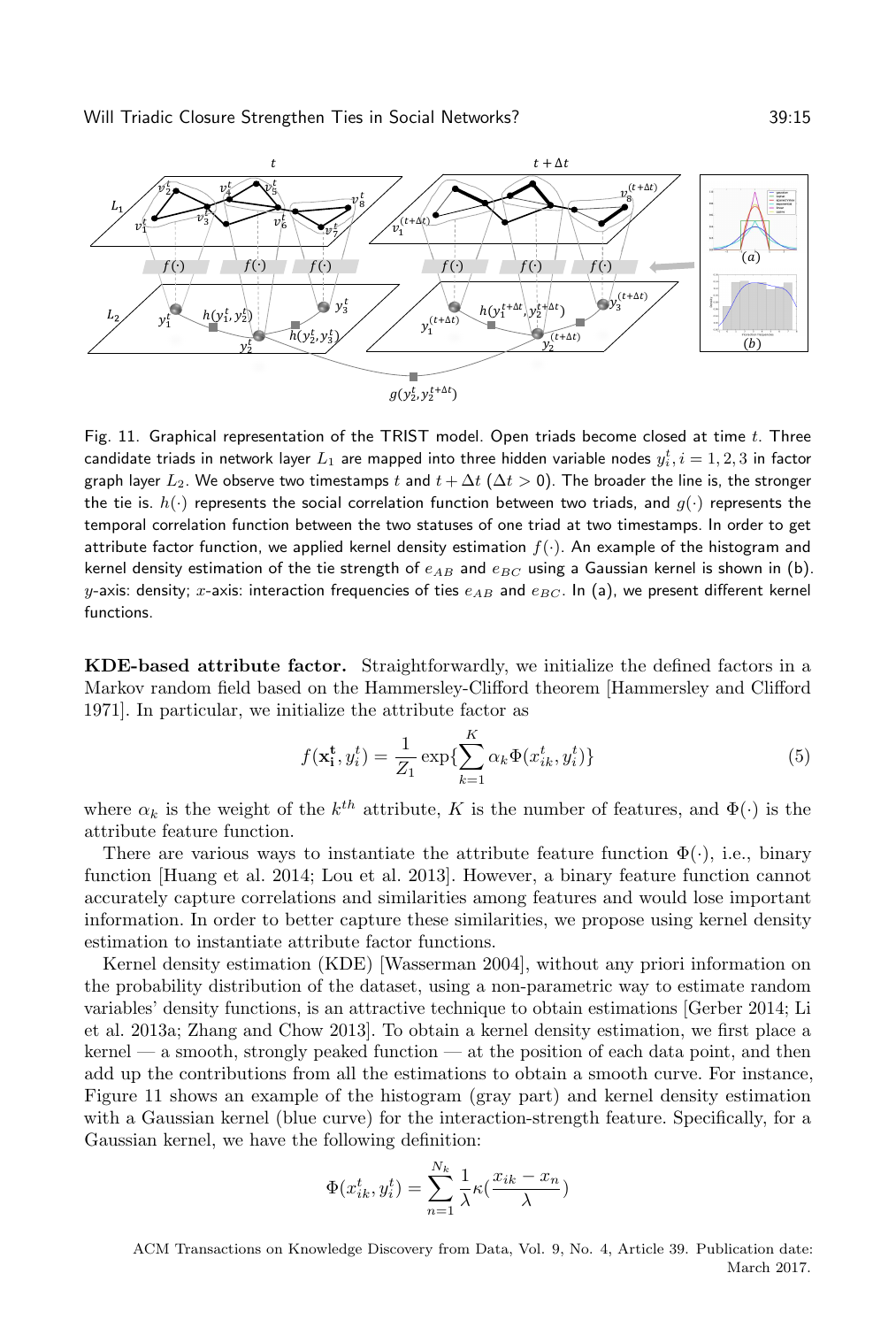<span id="page-14-0"></span>

Fig. 11. Graphical representation of the TRIST model. Open triads become closed at time  $t$ . Three candidate triads in network layer  $L_1$  are mapped into three hidden variable nodes  $y_i^t, i=1,2,3$  in factor graph layer  $L_2$ . We observe two timestamps t and  $t + \Delta t$  ( $\Delta t > 0$ ). The broader the line is, the stronger the tie is.  $h(\cdot)$  represents the social correlation function between two triads, and  $g(\cdot)$  represents the temporal correlation function between the two statuses of one triad at two timestamps. In order to get attribute factor function, we applied kernel density estimation  $f(.)$ . An example of the histogram and kernel density estimation of the tie strength of  $e_{AB}$  and  $e_{BC}$  using a Gaussian kernel is shown in (b). y-axis: density; x-axis: interaction frequencies of ties  $e_{AB}$  and  $e_{BC}$ . In (a), we present different kernel functions.

KDE-based attribute factor. Straightforwardly, we initialize the defined factors in a Markov random field based on the Hammersley-Clifford theorem [\[Hammersley and Clifford](#page-25-12) [1971\]](#page-25-12). In particular, we initialize the attribute factor as

$$
f(\mathbf{x_i^t}, y_i^t) = \frac{1}{Z_1} \exp\left\{\sum_{k=1}^K \alpha_k \Phi(x_{ik}^t, y_i^t)\right\}
$$
(5)

where  $\alpha_k$  is the weight of the  $k^{th}$  attribute, K is the number of features, and  $\Phi(\cdot)$  is the attribute feature function.

There are various ways to instantiate the attribute feature function  $\Phi(\cdot)$ , i.e., binary function [\[Huang et al.](#page-25-1) [2014;](#page-25-1) [Lou et al.](#page-25-3) [2013\]](#page-25-3). However, a binary feature function cannot accurately capture correlations and similarities among features and would lose important information. In order to better capture these similarities, we propose using kernel density estimation to instantiate attribute factor functions.

Kernel density estimation (KDE) [\[Wasserman 2004\]](#page-26-5), without any priori information on the probability distribution of the dataset, using a non-parametric way to estimate random variables' density functions, is an attractive technique to obtain estimations [\[Gerber 2014;](#page-24-6) [Li](#page-25-13) [et al.](#page-25-13) [2013a;](#page-25-13) [Zhang and Chow 2013\]](#page-26-6). To obtain a kernel density estimation, we first place a kernel — a smooth, strongly peaked function — at the position of each data point, and then add up the contributions from all the estimations to obtain a smooth curve. For instance, Figure [11](#page-14-0) shows an example of the histogram (gray part) and kernel density estimation with a Gaussian kernel (blue curve) for the interaction-strength feature. Specifically, for a Gaussian kernel, we have the following definition:

$$
\Phi(x_{ik}^t, y_i^t) = \sum_{n=1}^{N_k} \frac{1}{\lambda} \kappa(\frac{x_{ik}-x_n}{\lambda})
$$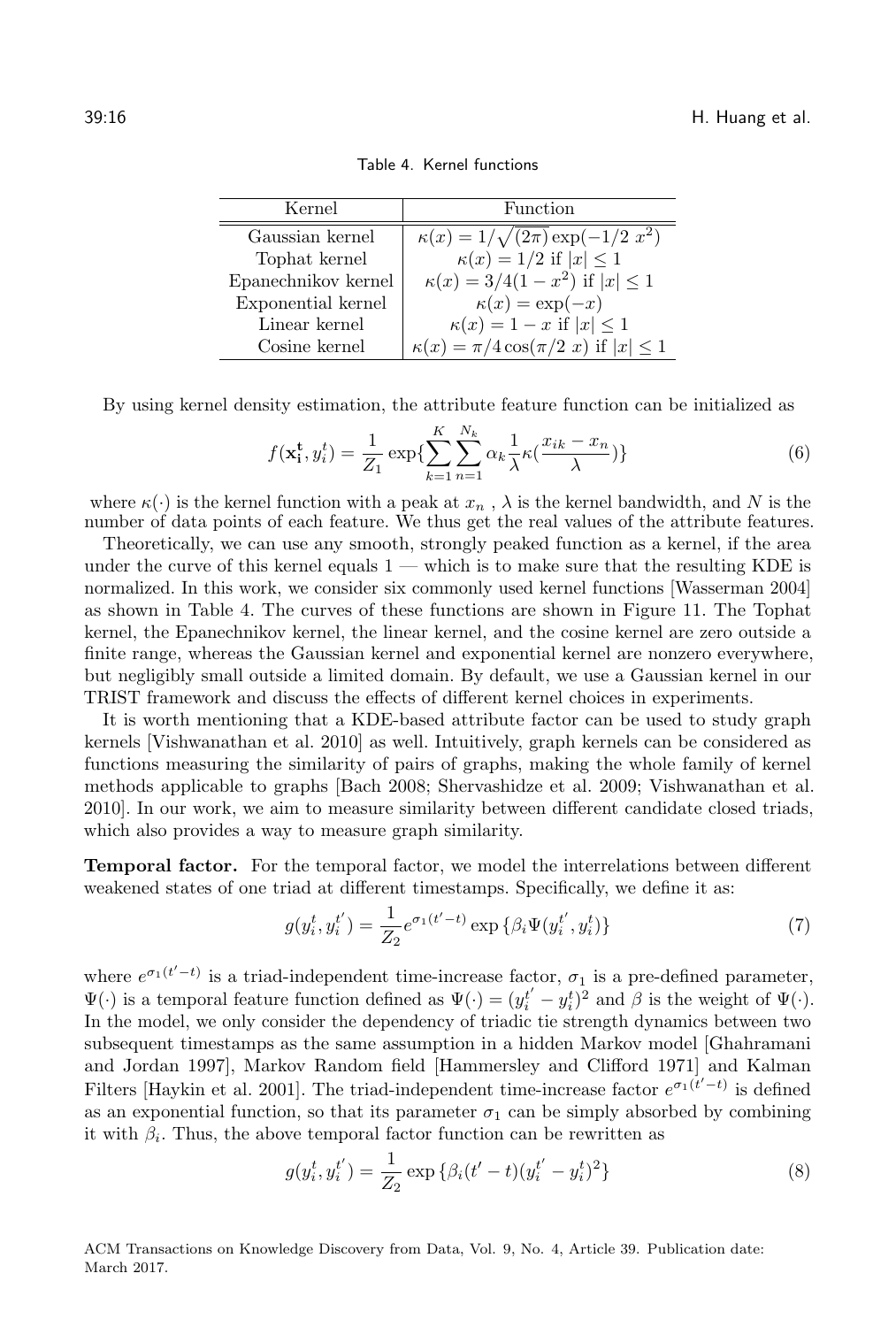<span id="page-15-0"></span>

| Kernel              | Function                                          |
|---------------------|---------------------------------------------------|
| Gaussian kernel     | $\kappa(x) = 1/\sqrt{(2\pi)} \exp(-1/2 x^2)$      |
| Tophat kernel       | $\kappa(x) = 1/2$ if $ x  \leq 1$                 |
| Epanechnikov kernel | $\kappa(x) = 3/4(1-x^2)$ if $ x  \le 1$           |
| Exponential kernel  | $\kappa(x) = \exp(-x)$                            |
| Linear kernel       | $\kappa(x) = 1 - x$ if $ x  \leq 1$               |
| Cosine kernel       | $\kappa(x) = \pi/4 \cos(\pi/2 x)$ if $ x  \leq 1$ |

Table 4. Kernel functions

By using kernel density estimation, the attribute feature function can be initialized as

$$
f(\mathbf{x_i^t}, y_i^t) = \frac{1}{Z_1} \exp\left\{\sum_{k=1}^K \sum_{n=1}^{N_k} \alpha_k \frac{1}{\lambda} \kappa(\frac{x_{ik} - x_n}{\lambda})\right\}
$$
(6)

where  $\kappa(\cdot)$  is the kernel function with a peak at  $x_n$ ,  $\lambda$  is the kernel bandwidth, and N is the number of data points of each feature. We thus get the real values of the attribute features.

Theoretically, we can use any smooth, strongly peaked function as a kernel, if the area under the curve of this kernel equals  $1$  — which is to make sure that the resulting KDE is normalized. In this work, we consider six commonly used kernel functions [\[Wasserman 2004\]](#page-26-5) as shown in Table [4.](#page-15-0) The curves of these functions are shown in Figure [11.](#page-14-0) The Tophat kernel, the Epanechnikov kernel, the linear kernel, and the cosine kernel are zero outside a finite range, whereas the Gaussian kernel and exponential kernel are nonzero everywhere, but negligibly small outside a limited domain. By default, we use a Gaussian kernel in our TRIST framework and discuss the effects of different kernel choices in experiments.

It is worth mentioning that a KDE-based attribute factor can be used to study graph kernels [\[Vishwanathan et al.](#page-26-7) [2010\]](#page-26-7) as well. Intuitively, graph kernels can be considered as functions measuring the similarity of pairs of graphs, making the whole family of kernel methods applicable to graphs [\[Bach 2008;](#page-24-7) [Shervashidze et al.](#page-25-14) [2009;](#page-25-14) [Vishwanathan et al.](#page-26-7) [2010\]](#page-26-7). In our work, we aim to measure similarity between different candidate closed triads, which also provides a way to measure graph similarity.

Temporal factor. For the temporal factor, we model the interrelations between different weakened states of one triad at different timestamps. Specifically, we define it as:

$$
g(y_i^t, y_i^{t'}) = \frac{1}{Z_2} e^{\sigma_1(t'-t)} \exp \{ \beta_i \Psi(y_i^{t'}, y_i^t) \}
$$
 (7)

where  $e^{\sigma_1(t'-t)}$  is a triad-independent time-increase factor,  $\sigma_1$  is a pre-defined parameter,  $\Psi(\cdot)$  is a temporal feature function defined as  $\Psi(\cdot) = (y_i^{t'} - y_i^t)^2$  and  $\beta$  is the weight of  $\Psi(\cdot)$ . In the model, we only consider the dependency of triadic tie strength dynamics between two subsequent timestamps as the same assumption in a hidden Markov model [\[Ghahramani](#page-25-15) [and Jordan 1997\]](#page-25-15), Markov Random field [\[Hammersley and Clifford 1971\]](#page-25-12) and Kalman Filters [\[Haykin et al.](#page-25-16) [2001\]](#page-25-16). The triad-independent time-increase factor  $e^{\sigma_1(\vec{t}'-\vec{t})}$  is defined as an exponential function, so that its parameter  $\sigma_1$  can be simply absorbed by combining it with  $\beta_i$ . Thus, the above temporal factor function can be rewritten as

$$
g(y_i^t, y_i^{t'}) = \frac{1}{Z_2} \exp \{ \beta_i (t'-t) (y_i^{t'} - y_i^t)^2 \}
$$
\n(8)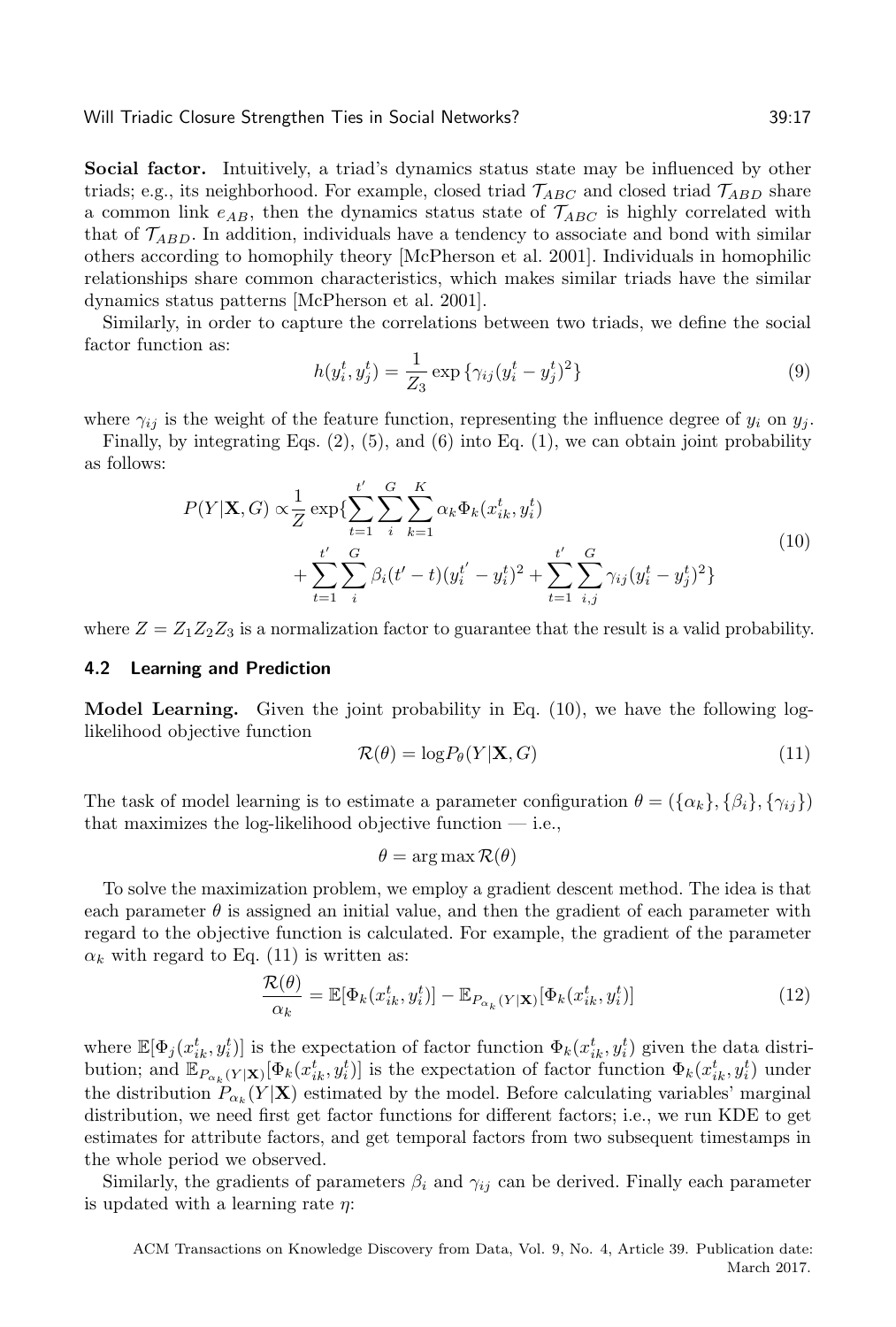Social factor. Intuitively, a triad's dynamics status state may be influenced by other triads; e.g., its neighborhood. For example, closed triad  $\mathcal{T}_{ABC}$  and closed triad  $\mathcal{T}_{ABD}$  share a common link  $e_{AB}$ , then the dynamics status state of  $\mathcal{T}_{ABC}$  is highly correlated with that of  $\mathcal{T}_{ABD}$ . In addition, individuals have a tendency to associate and bond with similar others according to homophily theory [\[McPherson et al.](#page-25-17) [2001\]](#page-25-17). Individuals in homophilic relationships share common characteristics, which makes similar triads have the similar dynamics status patterns [\[McPherson et al. 2001\]](#page-25-17).

Similarly, in order to capture the correlations between two triads, we define the social factor function as:

$$
h(y_i^t, y_j^t) = \frac{1}{Z_3} \exp \{ \gamma_{ij} (y_i^t - y_j^t)^2 \}
$$
\n(9)

where  $\gamma_{ij}$  is the weight of the feature function, representing the influence degree of  $y_i$  on  $y_j$ .

Finally, by integrating Eqs.  $(2)$ ,  $(5)$ , and  $(6)$  into Eq.  $(1)$ , we can obtain joint probability as follows:

<span id="page-16-0"></span>
$$
P(Y|\mathbf{X}, G) \propto \frac{1}{Z} \exp\{\sum_{t=1}^{t'} \sum_{i}^{G} \sum_{k=1}^{K} \alpha_k \Phi_k(x_{ik}^t, y_i^t) + \sum_{t=1}^{t'} \sum_{i}^{G} \beta_i (t'-t)(y_i^{t'} - y_i^t)^2 + \sum_{t=1}^{t'} \sum_{i,j}^{G} \gamma_{ij} (y_i^t - y_j^t)^2\}
$$
\n(10)

where  $Z = Z_1 Z_2 Z_3$  is a normalization factor to guarantee that the result is a valid probability.

# 4.2 Learning and Prediction

Model Learning. Given the joint probability in Eq. [\(10\)](#page-16-0), we have the following loglikelihood objective function

<span id="page-16-1"></span>
$$
\mathcal{R}(\theta) = \log P_{\theta}(Y|\mathbf{X}, G) \tag{11}
$$

The task of model learning is to estimate a parameter configuration  $\theta = (\{\alpha_k\}, \{\beta_i\}, \{\gamma_{ij}\})$ that maximizes the log-likelihood objective function  $-$  i.e.,

$$
\theta = \arg \max \mathcal{R}(\theta)
$$

To solve the maximization problem, we employ a gradient descent method. The idea is that each parameter  $\theta$  is assigned an initial value, and then the gradient of each parameter with regard to the objective function is calculated. For example, the gradient of the parameter  $\alpha_k$  with regard to Eq. [\(11\)](#page-16-1) is written as:

<span id="page-16-2"></span>
$$
\frac{\mathcal{R}(\theta)}{\alpha_k} = \mathbb{E}[\Phi_k(x_{ik}^t, y_i^t)] - \mathbb{E}_{P_{\alpha_k}(Y|\mathbf{X})}[\Phi_k(x_{ik}^t, y_i^t)]
$$
\n(12)

where  $\mathbb{E}[\Phi_j(x_{ik}^t, y_i^t)]$  is the expectation of factor function  $\Phi_k(x_{ik}^t, y_i^t)$  given the data distribution; and  $\mathbb{E}_{P_{\alpha_k}(Y|\mathbf{X})}[\Phi_k(x_{ik}^t, y_i^t)]$  is the expectation of factor function  $\Phi_k(x_{ik}^t, y_i^t)$  under the distribution  $P_{\alpha_k}(Y|\mathbf{X})$  estimated by the model. Before calculating variables' marginal distribution, we need first get factor functions for different factors; i.e., we run KDE to get estimates for attribute factors, and get temporal factors from two subsequent timestamps in the whole period we observed.

Similarly, the gradients of parameters  $\beta_i$  and  $\gamma_{ij}$  can be derived. Finally each parameter is updated with a learning rate  $\eta$ :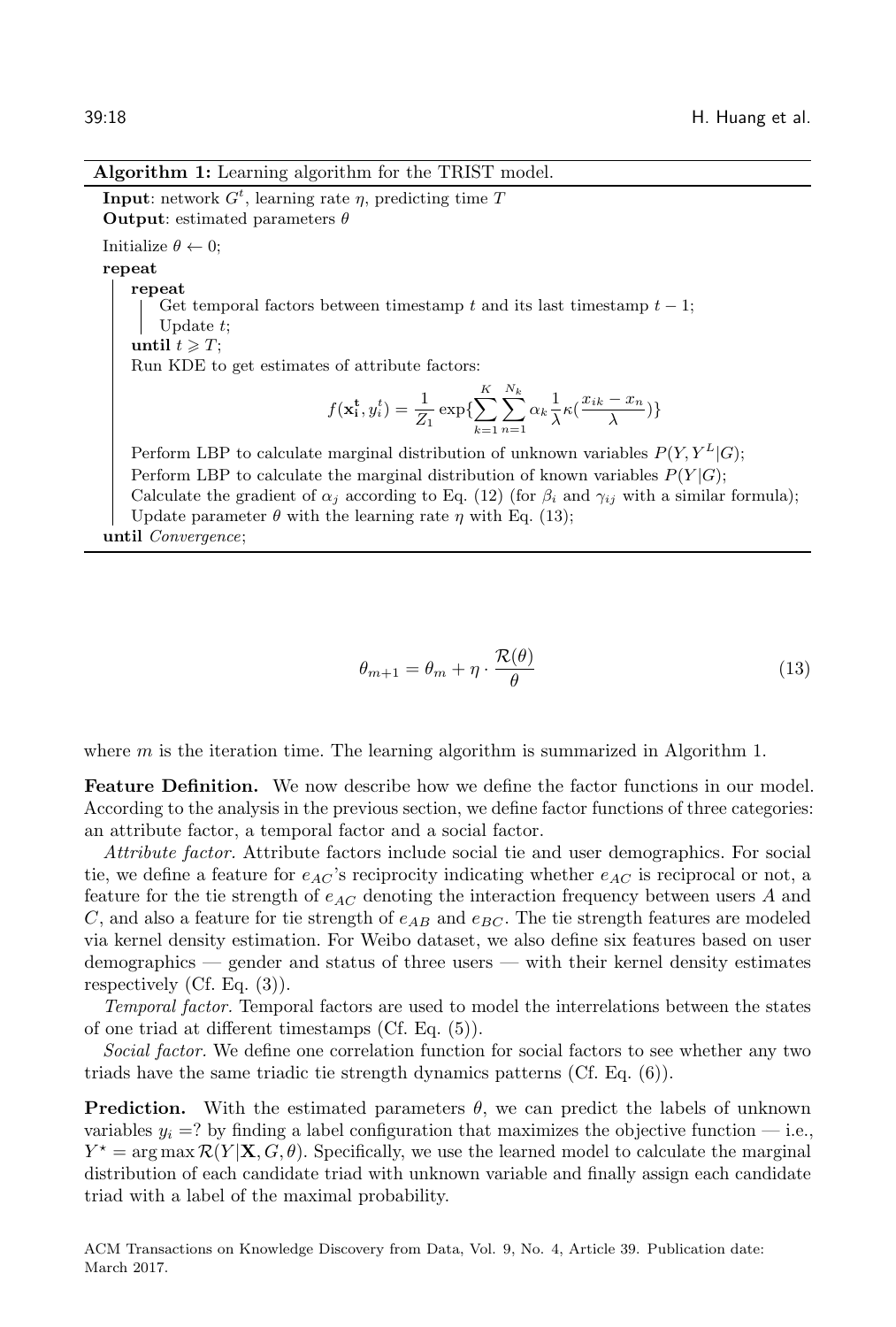#### Algorithm 1: Learning algorithm for the TRIST model.

<span id="page-17-1"></span>**Input:** network  $G^t$ , learning rate  $\eta$ , predicting time T **Output:** estimated parameters  $\theta$ Initialize  $\theta \leftarrow 0;$ repeat repeat Get temporal factors between timestamp  $t$  and its last timestamp  $t-1$ ; Update  $t$ ; until  $t \geqslant T$ ; Run KDE to get estimates of attribute factors:  $f(\mathbf{x_i^t}, y_i^t) = \frac{1}{Z_1} \exp\{\sum_{i=1}^K$  $k=1$  $\sum$  $n=1$  $\alpha_k \frac{1}{\lambda}$  $\frac{1}{\lambda} \kappa (\frac{x_{ik} - x_n}{\lambda})$  $\frac{x_n}{\lambda}\big)\}$ Perform LBP to calculate marginal distribution of unknown variables  $P(Y, Y^L|G);$ Perform LBP to calculate the marginal distribution of known variables  $P(Y|G);$ Calculate the gradient of  $\alpha_j$  according to Eq. [\(12\)](#page-16-2) (for  $\beta_i$  and  $\gamma_{ij}$  with a similar formula); Update parameter  $\theta$  with the learning rate  $\eta$  with Eq. [\(13\)](#page-17-0);

until Convergence;

<span id="page-17-0"></span>
$$
\theta_{m+1} = \theta_m + \eta \cdot \frac{\mathcal{R}(\theta)}{\theta} \tag{13}
$$

where  $m$  is the iteration time. The learning algorithm is summarized in Algorithm [1.](#page-17-1)

Feature Definition. We now describe how we define the factor functions in our model. According to the analysis in the previous section, we define factor functions of three categories: an attribute factor, a temporal factor and a social factor.

Attribute factor. Attribute factors include social tie and user demographics. For social tie, we define a feature for  $e_{AC}$ 's reciprocity indicating whether  $e_{AC}$  is reciprocal or not, a feature for the tie strength of  $e_{AC}$  denoting the interaction frequency between users A and C, and also a feature for tie strength of  $e_{AB}$  and  $e_{BC}$ . The tie strength features are modeled via kernel density estimation. For Weibo dataset, we also define six features based on user demographics — gender and status of three users — with their kernel density estimates respectively (Cf. Eq. (3)).

Temporal factor. Temporal factors are used to model the interrelations between the states of one triad at different timestamps (Cf. Eq. (5)).

Social factor. We define one correlation function for social factors to see whether any two triads have the same triadic tie strength dynamics patterns (Cf. Eq. (6)).

**Prediction.** With the estimated parameters  $\theta$ , we can predict the labels of unknown variables  $y_i = ?$  by finding a label configuration that maximizes the objective function  $-$  i.e.,  $Y^* = \arg \max \mathcal{R}(Y | \mathbf{X}, G, \theta)$ . Specifically, we use the learned model to calculate the marginal distribution of each candidate triad with unknown variable and finally assign each candidate triad with a label of the maximal probability.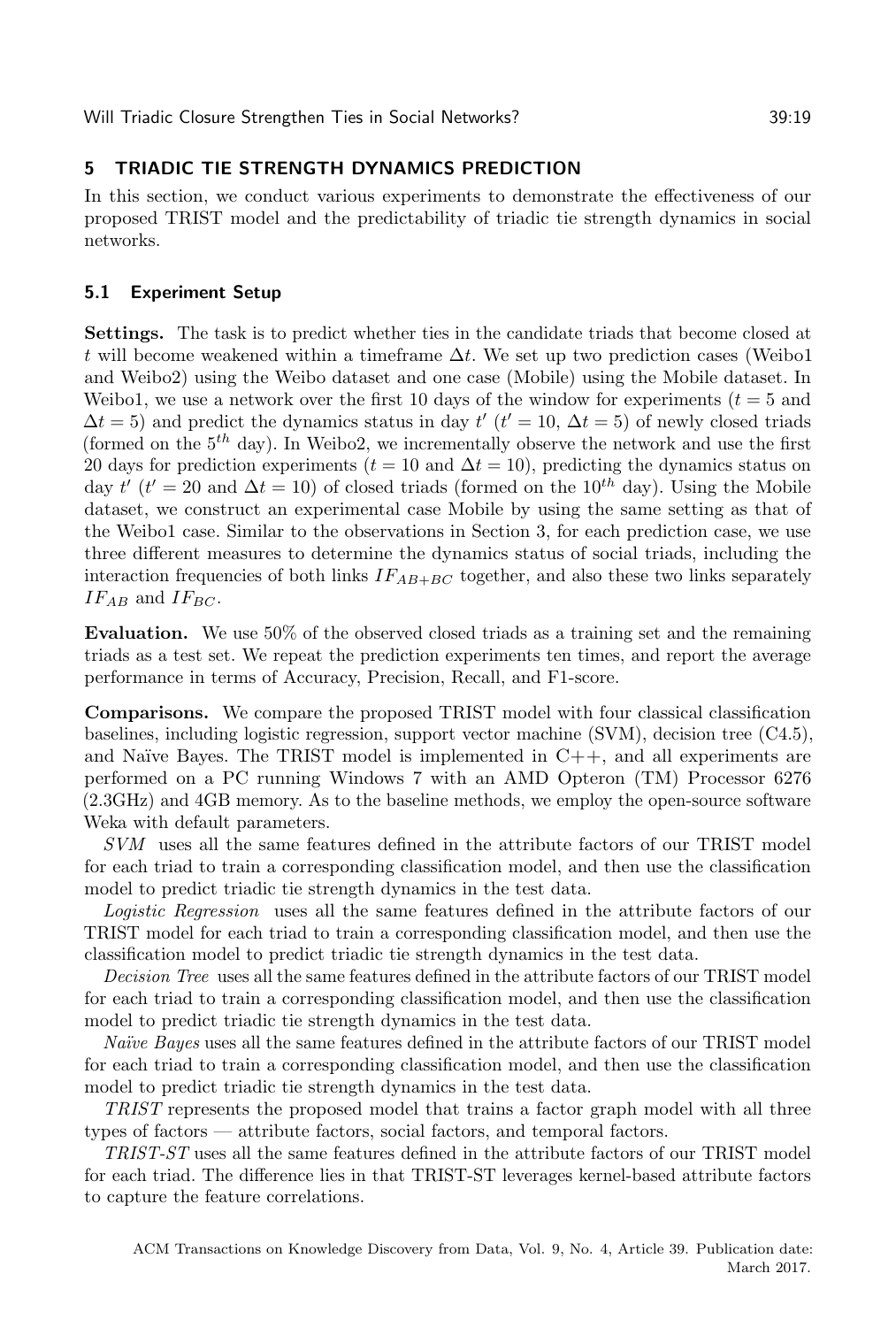# <span id="page-18-0"></span>5 TRIADIC TIE STRENGTH DYNAMICS PREDICTION

In this section, we conduct various experiments to demonstrate the effectiveness of our proposed TRIST model and the predictability of triadic tie strength dynamics in social networks.

# 5.1 Experiment Setup

Settings. The task is to predict whether ties in the candidate triads that become closed at t will become weakened within a timeframe  $\Delta t$ . We set up two prediction cases (Weibo1 and Weibo2) using the Weibo dataset and one case (Mobile) using the Mobile dataset. In Weibo1, we use a network over the first 10 days of the window for experiments  $(t = 5$  and  $\Delta t = 5$ ) and predict the dynamics status in day  $t'$  ( $t' = 10$ ,  $\Delta t = 5$ ) of newly closed triads (formed on the  $5<sup>th</sup>$  day). In Weibo2, we incrementally observe the network and use the first 20 days for prediction experiments ( $t = 10$  and  $\Delta t = 10$ ), predicting the dynamics status on day  $t'$  ( $t' = 20$  and  $\Delta t = 10$ ) of closed triads (formed on the  $10^{th}$  day). Using the Mobile dataset, we construct an experimental case Mobile by using the same setting as that of the Weibo1 case. Similar to the observations in Section [3,](#page-5-0) for each prediction case, we use three different measures to determine the dynamics status of social triads, including the interaction frequencies of both links  $IF_{AB+BC}$  together, and also these two links separately  $IF_{AB}$  and  $IF_{BC}$ .

Evaluation. We use 50% of the observed closed triads as a training set and the remaining triads as a test set. We repeat the prediction experiments ten times, and report the average performance in terms of Accuracy, Precision, Recall, and F1-score.

Comparisons. We compare the proposed TRIST model with four classical classification baselines, including logistic regression, support vector machine (SVM), decision tree (C4.5), and Naïve Bayes. The TRIST model is implemented in  $C++$ , and all experiments are performed on a PC running Windows 7 with an AMD Opteron (TM) Processor 6276 (2.3GHz) and 4GB memory. As to the baseline methods, we employ the open-source software Weka with default parameters.

SVM uses all the same features defined in the attribute factors of our TRIST model for each triad to train a corresponding classification model, and then use the classification model to predict triadic tie strength dynamics in the test data.

Logistic Regression uses all the same features defined in the attribute factors of our TRIST model for each triad to train a corresponding classification model, and then use the classification model to predict triadic tie strength dynamics in the test data.

Decision Tree uses all the same features defined in the attribute factors of our TRIST model for each triad to train a corresponding classification model, and then use the classification model to predict triadic tie strength dynamics in the test data.

Naïve Bayes uses all the same features defined in the attribute factors of our TRIST model for each triad to train a corresponding classification model, and then use the classification model to predict triadic tie strength dynamics in the test data.

TRIST represents the proposed model that trains a factor graph model with all three types of factors — attribute factors, social factors, and temporal factors.

TRIST-ST uses all the same features defined in the attribute factors of our TRIST model for each triad. The difference lies in that TRIST-ST leverages kernel-based attribute factors to capture the feature correlations.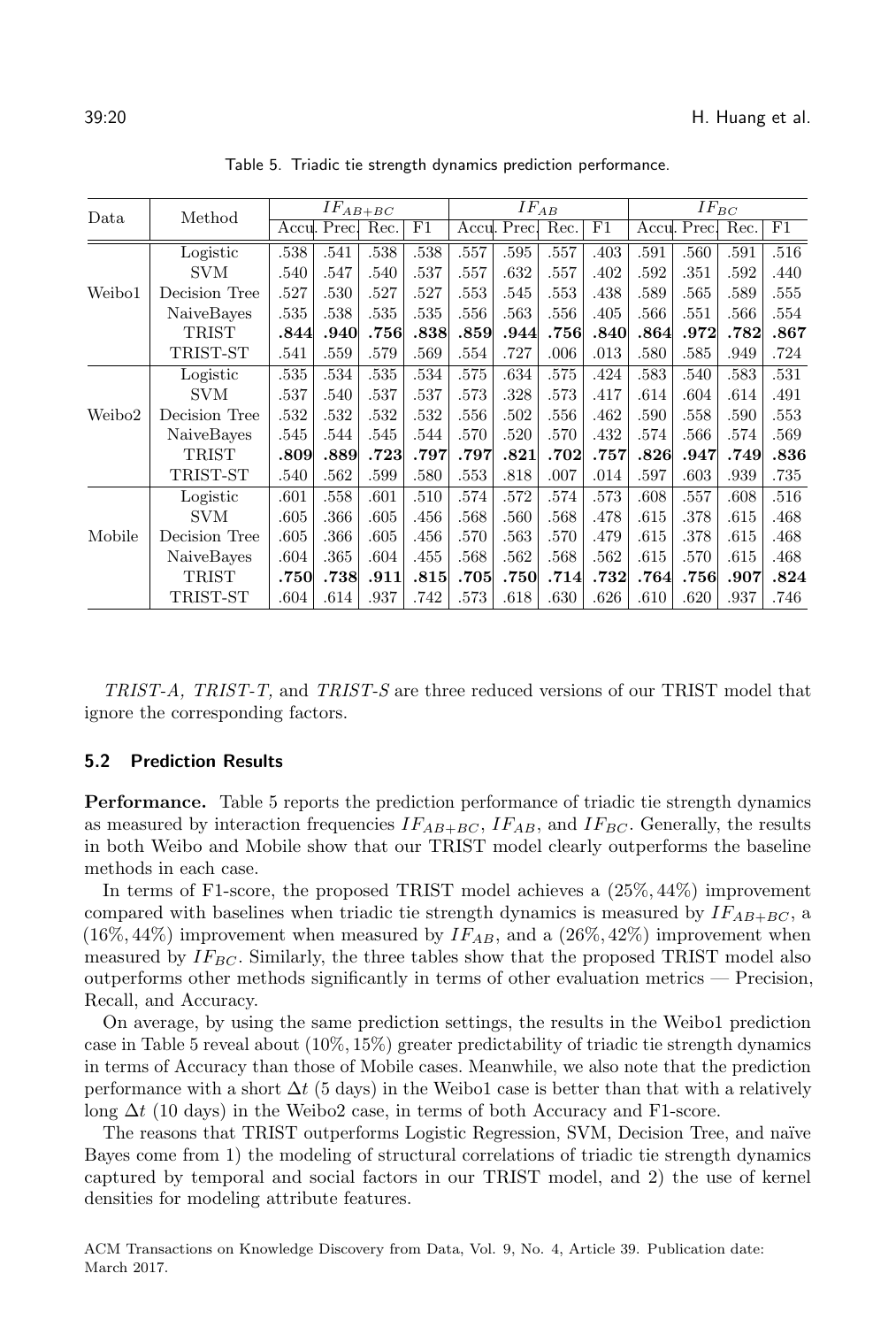<span id="page-19-0"></span>

| Data   | Method        | $IF_{AB+BC}$ |              |      | $IF_{AB}$ |      |              |      | $IF_{BC}$ |      |              |      |      |
|--------|---------------|--------------|--------------|------|-----------|------|--------------|------|-----------|------|--------------|------|------|
|        |               |              | Accul. Prec. | Rec. | F1        |      | Accul. Precl | Rec. | F1        |      | Accul. Prec. | Rec. | F1   |
|        | Logistic      | .538         | .541         | .538 | .538      | .557 | .595         | .557 | .403      | .591 | .560         | .591 | .516 |
| Weibo1 | <b>SVM</b>    | .540         | .547         | .540 | .537      | .557 | .632         | .557 | .402      | .592 | .351         | .592 | .440 |
|        | Decision Tree | .527         | .530         | .527 | .527      | .553 | .545         | .553 | .438      | .589 | .565         | .589 | .555 |
|        | NaiveBayes    | .535         | .538         | .535 | .535      | .556 | .563         | .556 | .405      | .566 | .551         | .566 | .554 |
|        | TRIST         | .844         | .940         | .756 | .838      | .859 | .944         | .756 | .840      | .864 | .972         | .782 | .867 |
|        | TRIST-ST      | .541         | .559         | .579 | .569      | .554 | .727         | .006 | .013      | .580 | .585         | .949 | .724 |
|        | Logistic      | .535         | .534         | .535 | .534      | .575 | .634         | .575 | .424      | .583 | .540         | .583 | .531 |
|        | <b>SVM</b>    | .537         | .540         | .537 | .537      | .573 | .328         | .573 | .417      | .614 | .604         | .614 | .491 |
| Weibo2 | Decision Tree | .532         | .532         | .532 | .532      | .556 | .502         | .556 | .462      | .590 | .558         | .590 | .553 |
|        | NaiveBayes    | .545         | .544         | .545 | .544      | .570 | .520         | .570 | .432      | .574 | .566         | .574 | .569 |
|        | TRIST         | .809         | .889         | .723 | .797      | .797 | .821         | .702 | .757      | .826 | .947         | .749 | .836 |
|        | TRIST-ST      | .540         | .562         | .599 | .580      | .553 | .818         | .007 | .014      | .597 | .603         | .939 | .735 |
| Mobile | Logistic      | .601         | .558         | .601 | .510      | .574 | .572         | .574 | .573      | .608 | .557         | .608 | .516 |
|        | <b>SVM</b>    | .605         | .366         | .605 | .456      | .568 | .560         | .568 | .478      | .615 | .378         | .615 | .468 |
|        | Decision Tree | .605         | .366         | .605 | .456      | .570 | .563         | .570 | .479      | .615 | .378         | .615 | .468 |
|        | NaiveBayes    | .604         | .365         | .604 | .455      | .568 | .562         | .568 | .562      | .615 | .570         | .615 | .468 |
|        | <b>TRIST</b>  | .750         | .738         | .911 | .815      | .705 | $.750\,$     | .714 | .732      | .764 | .756         | .907 | .824 |
|        | TRIST-ST      | .604         | .614         | .937 | .742      | .573 | .618         | .630 | .626      | .610 | .620         | .937 | .746 |

Table 5. Triadic tie strength dynamics prediction performance.

TRIST-A, TRIST-T, and TRIST-S are three reduced versions of our TRIST model that ignore the corresponding factors.

### 5.2 Prediction Results

Performance. Table [5](#page-19-0) reports the prediction performance of triadic tie strength dynamics as measured by interaction frequencies  $IF_{AB+BC}$ ,  $IF_{AB}$ , and  $IF_{BC}$ . Generally, the results in both Weibo and Mobile show that our TRIST model clearly outperforms the baseline methods in each case.

In terms of F1-score, the proposed TRIST model achieves a (25%, 44%) improvement compared with baselines when triadic tie strength dynamics is measured by  $IF_{AB+BC}$ , a  $(16\%, 44\%)$  improvement when measured by  $IF_{AB}$ , and a  $(26\%, 42\%)$  improvement when measured by  $IF_{BC}$ . Similarly, the three tables show that the proposed TRIST model also outperforms other methods significantly in terms of other evaluation metrics — Precision, Recall, and Accuracy.

On average, by using the same prediction settings, the results in the Weibo1 prediction case in Table [5](#page-19-0) reveal about (10%, 15%) greater predictability of triadic tie strength dynamics in terms of Accuracy than those of Mobile cases. Meanwhile, we also note that the prediction performance with a short  $\Delta t$  (5 days) in the Weibo1 case is better than that with a relatively long  $\Delta t$  (10 days) in the Weibo2 case, in terms of both Accuracy and F1-score.

The reasons that TRIST outperforms Logistic Regression, SVM, Decision Tree, and naïve Bayes come from 1) the modeling of structural correlations of triadic tie strength dynamics captured by temporal and social factors in our TRIST model, and 2) the use of kernel densities for modeling attribute features.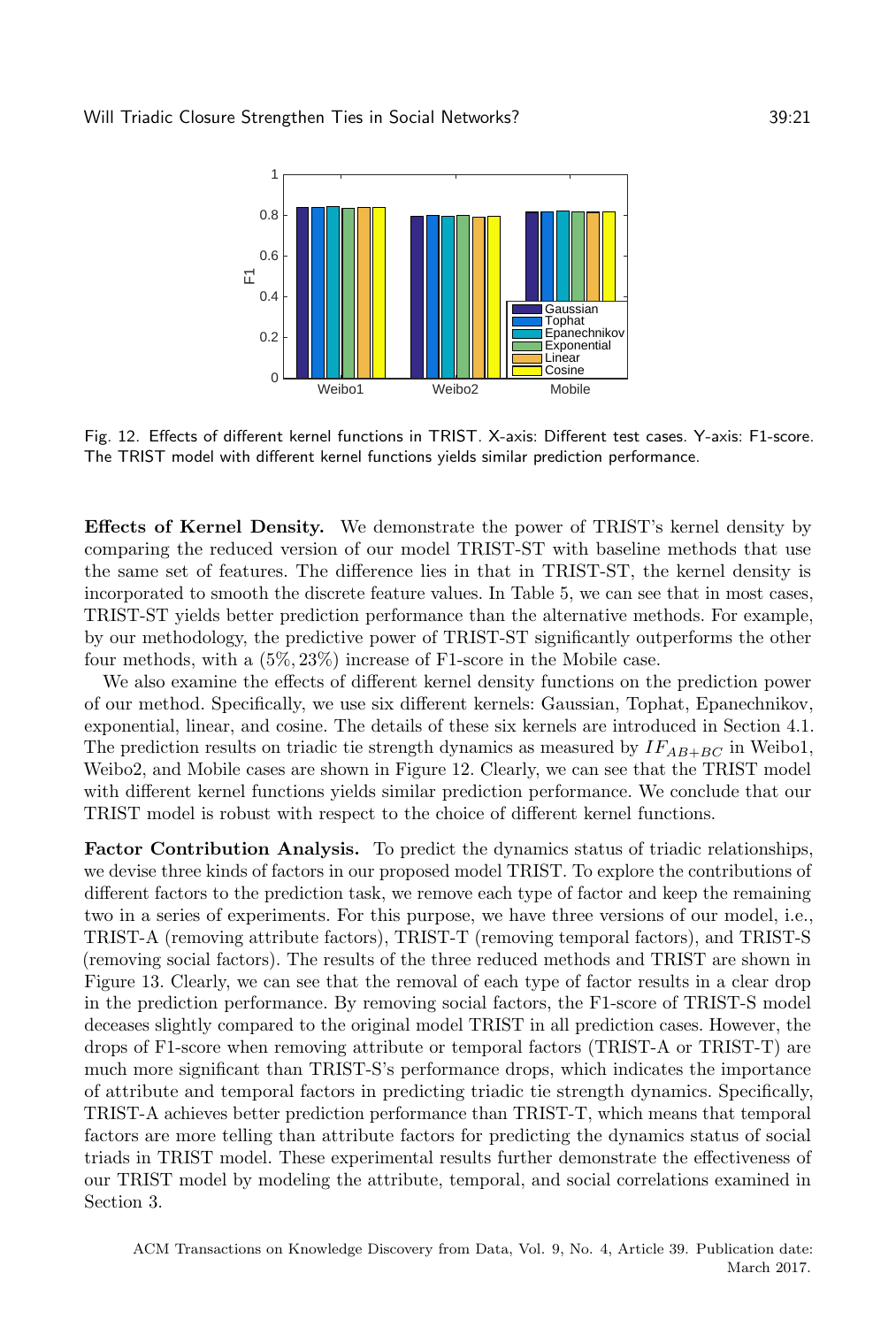<span id="page-20-0"></span>

Fig. 12. Effects of different kernel functions in TRIST. X-axis: Different test cases. Y-axis: F1-score. The TRIST model with different kernel functions yields similar prediction performance.

Effects of Kernel Density. We demonstrate the power of TRIST's kernel density by comparing the reduced version of our model TRIST-ST with baseline methods that use the same set of features. The difference lies in that in TRIST-ST, the kernel density is incorporated to smooth the discrete feature values. In Table [5,](#page-19-0) we can see that in most cases, TRIST-ST yields better prediction performance than the alternative methods. For example, by our methodology, the predictive power of TRIST-ST significantly outperforms the other four methods, with a (5%, 23%) increase of F1-score in the Mobile case.

We also examine the effects of different kernel density functions on the prediction power of our method. Specifically, we use six different kernels: Gaussian, Tophat, Epanechnikov, exponential, linear, and cosine. The details of these six kernels are introduced in Section [4.1.](#page-13-2) The prediction results on triadic tie strength dynamics as measured by  $IF_{AB+BC}$  in Weibo1, Weibo2, and Mobile cases are shown in Figure [12.](#page-20-0) Clearly, we can see that the TRIST model with different kernel functions yields similar prediction performance. We conclude that our TRIST model is robust with respect to the choice of different kernel functions.

Factor Contribution Analysis. To predict the dynamics status of triadic relationships, we devise three kinds of factors in our proposed model TRIST. To explore the contributions of different factors to the prediction task, we remove each type of factor and keep the remaining two in a series of experiments. For this purpose, we have three versions of our model, i.e., TRIST-A (removing attribute factors), TRIST-T (removing temporal factors), and TRIST-S (removing social factors). The results of the three reduced methods and TRIST are shown in Figure [13.](#page-21-0) Clearly, we can see that the removal of each type of factor results in a clear drop in the prediction performance. By removing social factors, the F1-score of TRIST-S model deceases slightly compared to the original model TRIST in all prediction cases. However, the drops of F1-score when removing attribute or temporal factors (TRIST-A or TRIST-T) are much more significant than TRIST-S's performance drops, which indicates the importance of attribute and temporal factors in predicting triadic tie strength dynamics. Specifically, TRIST-A achieves better prediction performance than TRIST-T, which means that temporal factors are more telling than attribute factors for predicting the dynamics status of social triads in TRIST model. These experimental results further demonstrate the effectiveness of our TRIST model by modeling the attribute, temporal, and social correlations examined in Section [3.](#page-5-0)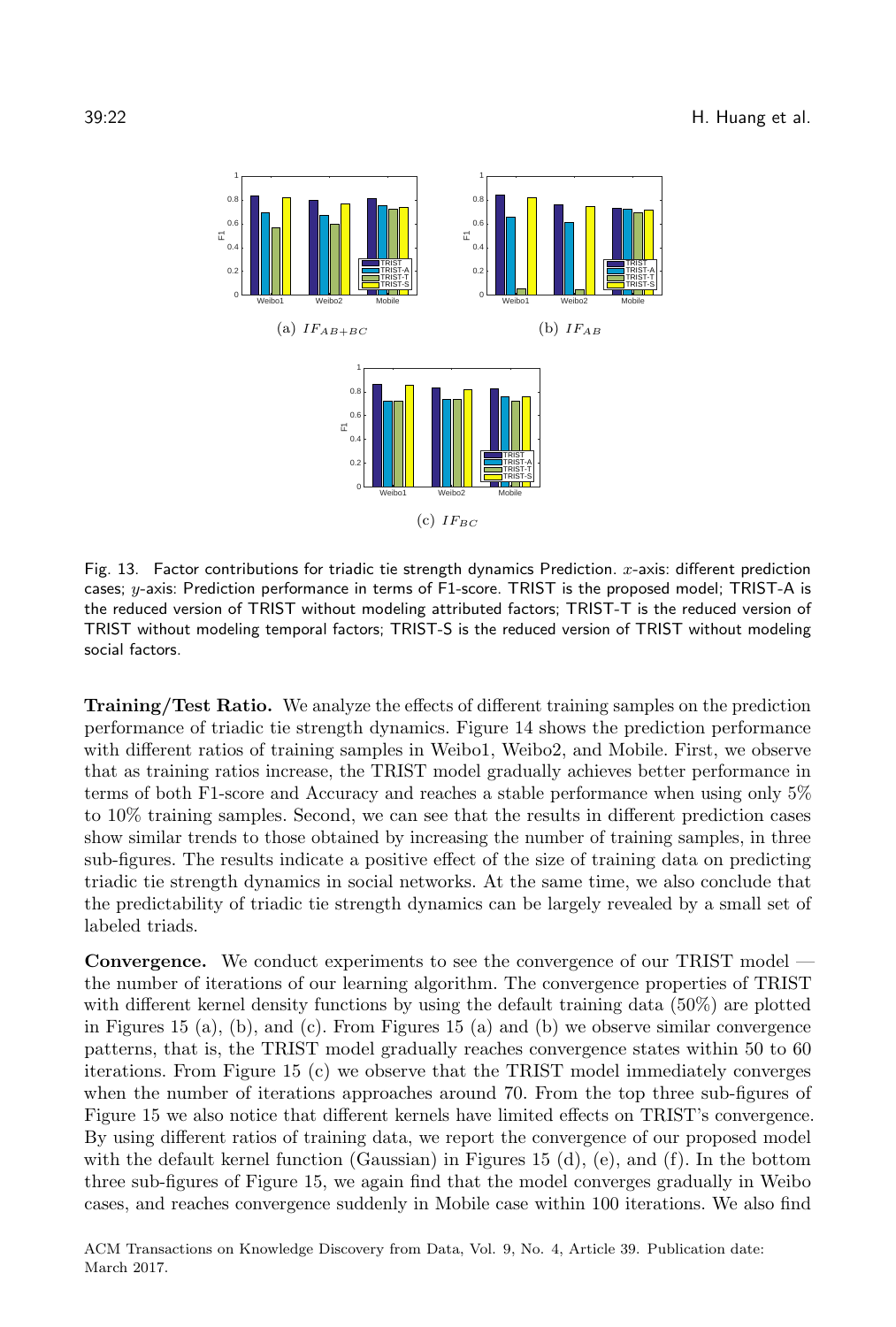<span id="page-21-0"></span>

Fig. 13. Factor contributions for triadic tie strength dynamics Prediction.  $x$ -axis: different prediction cases;  $y$ -axis: Prediction performance in terms of F1-score. TRIST is the proposed model; TRIST-A is the reduced version of TRIST without modeling attributed factors; TRIST-T is the reduced version of TRIST without modeling temporal factors; TRIST-S is the reduced version of TRIST without modeling social factors.

Training/Test Ratio. We analyze the effects of different training samples on the prediction performance of triadic tie strength dynamics. Figure [14](#page-22-1) shows the prediction performance with different ratios of training samples in Weibo1, Weibo2, and Mobile. First, we observe that as training ratios increase, the TRIST model gradually achieves better performance in terms of both F1-score and Accuracy and reaches a stable performance when using only 5% to 10% training samples. Second, we can see that the results in different prediction cases show similar trends to those obtained by increasing the number of training samples, in three sub-figures. The results indicate a positive effect of the size of training data on predicting triadic tie strength dynamics in social networks. At the same time, we also conclude that the predictability of triadic tie strength dynamics can be largely revealed by a small set of labeled triads.

Convergence. We conduct experiments to see the convergence of our TRIST model the number of iterations of our learning algorithm. The convergence properties of TRIST with different kernel density functions by using the default training data (50%) are plotted in Figures [15](#page-22-2) (a), (b), and (c). From Figures [15](#page-22-2) (a) and (b) we observe similar convergence patterns, that is, the TRIST model gradually reaches convergence states within 50 to 60 iterations. From Figure [15](#page-22-2) (c) we observe that the TRIST model immediately converges when the number of iterations approaches around 70. From the top three sub-figures of Figure [15](#page-22-2) we also notice that different kernels have limited effects on TRIST's convergence. By using different ratios of training data, we report the convergence of our proposed model with the default kernel function (Gaussian) in Figures [15](#page-22-2) (d), (e), and (f). In the bottom three sub-figures of Figure [15,](#page-22-2) we again find that the model converges gradually in Weibo cases, and reaches convergence suddenly in Mobile case within 100 iterations. We also find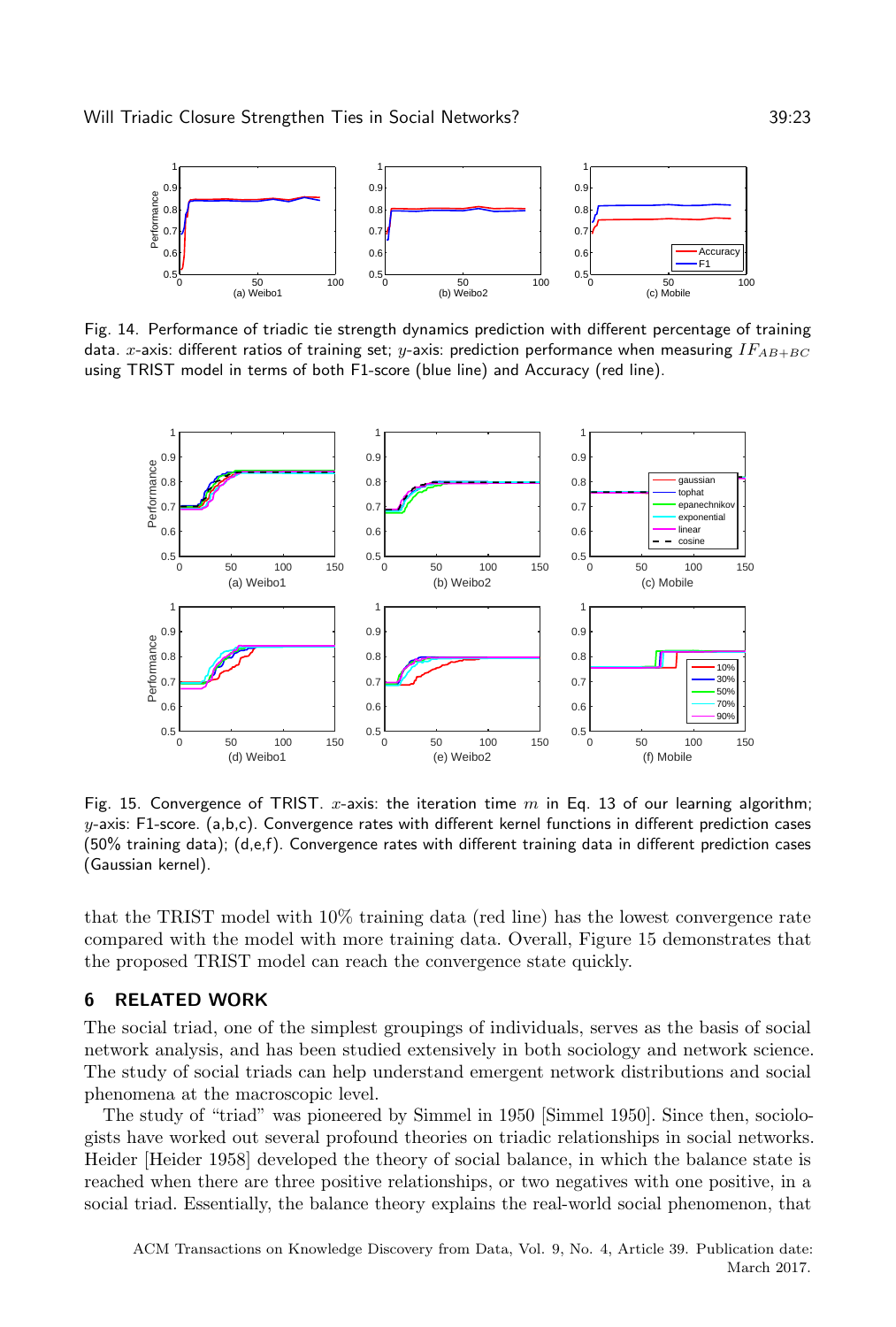<span id="page-22-1"></span>

Fig. 14. Performance of triadic tie strength dynamics prediction with different percentage of training data. x-axis: different ratios of training set;  $y$ -axis: prediction performance when measuring  $IF_{AB+BC}$ using TRIST model in terms of both F1-score (blue line) and Accuracy (red line).

<span id="page-22-2"></span>

Fig. 15. Convergence of TRIST. x-axis: the iteration time  $m$  in Eq. [13](#page-17-0) of our learning algorithm;  $y$ -axis: F1-score. (a,b,c). Convergence rates with different kernel functions in different prediction cases (50% training data); (d,e,f). Convergence rates with different training data in different prediction cases (Gaussian kernel).

that the TRIST model with 10% training data (red line) has the lowest convergence rate compared with the model with more training data. Overall, Figure [15](#page-22-2) demonstrates that the proposed TRIST model can reach the convergence state quickly.

# <span id="page-22-0"></span>6 RELATED WORK

The social triad, one of the simplest groupings of individuals, serves as the basis of social network analysis, and has been studied extensively in both sociology and network science. The study of social triads can help understand emergent network distributions and social phenomena at the macroscopic level.

The study of "triad" was pioneered by Simmel in 1950 [\[Simmel 1950\]](#page-26-1). Since then, sociologists have worked out several profound theories on triadic relationships in social networks. Heider [\[Heider 1958\]](#page-25-0) developed the theory of social balance, in which the balance state is reached when there are three positive relationships, or two negatives with one positive, in a social triad. Essentially, the balance theory explains the real-world social phenomenon, that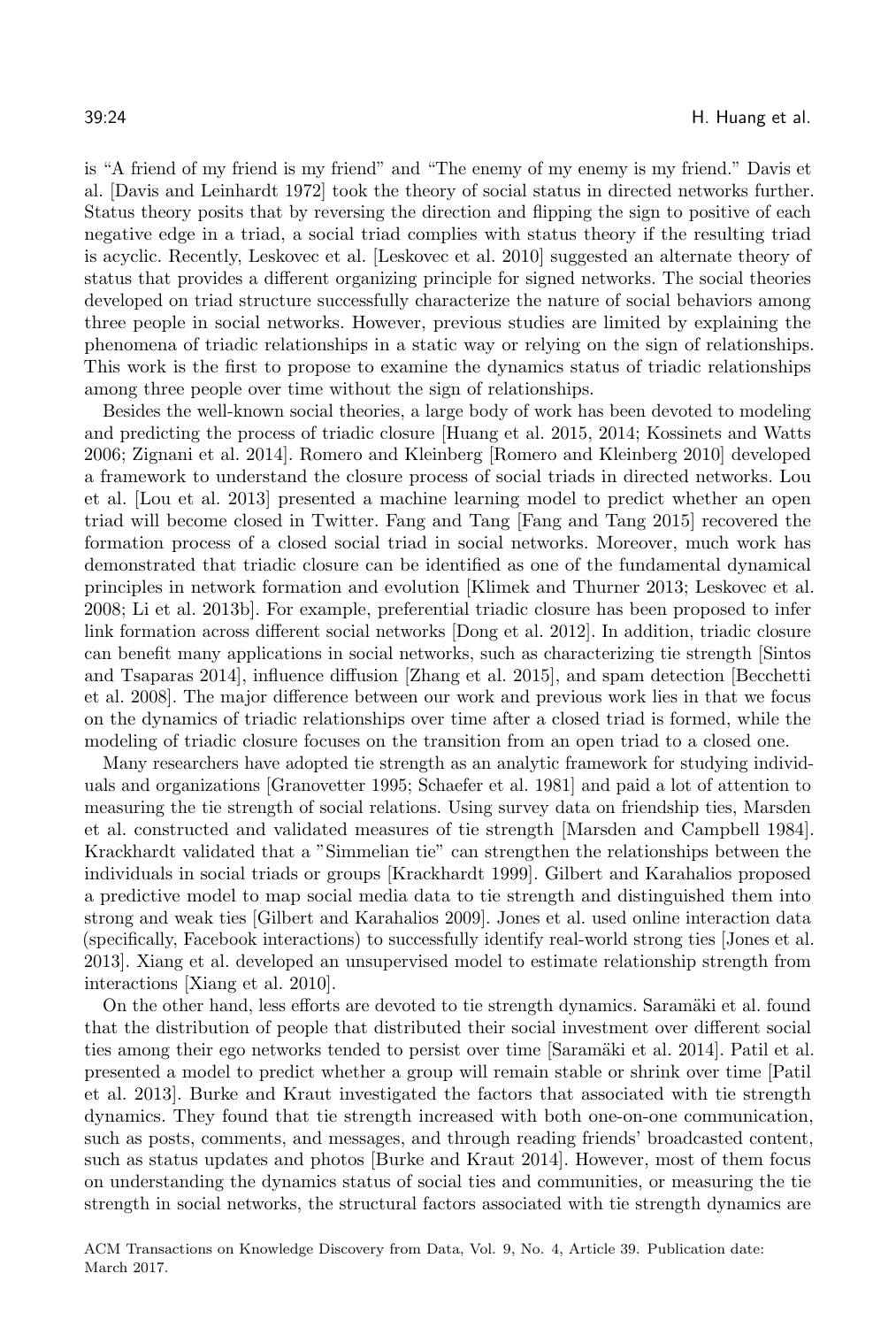is "A friend of my friend is my friend" and "The enemy of my enemy is my friend." Davis et al. [\[Davis and Leinhardt 1972\]](#page-24-1) took the theory of social status in directed networks further. Status theory posits that by reversing the direction and flipping the sign to positive of each negative edge in a triad, a social triad complies with status theory if the resulting triad is acyclic. Recently, Leskovec et al. [\[Leskovec et al.](#page-25-18) [2010\]](#page-25-18) suggested an alternate theory of status that provides a different organizing principle for signed networks. The social theories developed on triad structure successfully characterize the nature of social behaviors among three people in social networks. However, previous studies are limited by explaining the phenomena of triadic relationships in a static way or relying on the sign of relationships. This work is the first to propose to examine the dynamics status of triadic relationships among three people over time without the sign of relationships.

Besides the well-known social theories, a large body of work has been devoted to modeling and predicting the process of triadic closure [\[Huang et al.](#page-25-19) [2015,](#page-25-19) [2014;](#page-25-1) [Kossinets and Watts](#page-25-2) [2006;](#page-25-2) [Zignani et al.](#page-26-2) [2014\]](#page-26-2). Romero and Kleinberg [\[Romero and Kleinberg 2010\]](#page-25-4) developed a framework to understand the closure process of social triads in directed networks. Lou et al. [\[Lou et al.](#page-25-3) [2013\]](#page-25-3) presented a machine learning model to predict whether an open triad will become closed in Twitter. Fang and Tang [\[Fang and Tang 2015\]](#page-24-2) recovered the formation process of a closed social triad in social networks. Moreover, much work has demonstrated that triadic closure can be identified as one of the fundamental dynamical principles in network formation and evolution [\[Klimek and Thurner 2013;](#page-25-5) [Leskovec et al.](#page-25-6) [2008;](#page-25-6) [Li et al.](#page-25-20) [2013b\]](#page-25-20). For example, preferential triadic closure has been proposed to infer link formation across different social networks [\[Dong et al.](#page-24-8) [2012\]](#page-24-8). In addition, triadic closure can benefit many applications in social networks, such as characterizing tie strength [\[Sintos](#page-26-3) [and Tsaparas 2014\]](#page-26-3), influence diffusion [\[Zhang et al.](#page-26-8) [2015\]](#page-26-8), and spam detection [\[Becchetti](#page-24-9) [et al.](#page-24-9) [2008\]](#page-24-9). The major difference between our work and previous work lies in that we focus on the dynamics of triadic relationships over time after a closed triad is formed, while the modeling of triadic closure focuses on the transition from an open triad to a closed one.

Many researchers have adopted tie strength as an analytic framework for studying individuals and organizations [\[Granovetter 1995;](#page-25-21) [Schaefer et al.](#page-25-22) [1981\]](#page-25-22) and paid a lot of attention to measuring the tie strength of social relations. Using survey data on friendship ties, Marsden et al. constructed and validated measures of tie strength [\[Marsden and Campbell 1984\]](#page-25-23). Krackhardt validated that a "Simmelian tie" can strengthen the relationships between the individuals in social triads or groups [\[Krackhardt 1999\]](#page-25-24). Gilbert and Karahalios proposed a predictive model to map social media data to tie strength and distinguished them into strong and weak ties [\[Gilbert and Karahalios 2009\]](#page-25-25). Jones et al. used online interaction data (specifically, Facebook interactions) to successfully identify real-world strong ties [\[Jones et al.](#page-25-26) [2013\]](#page-25-26). Xiang et al. developed an unsupervised model to estimate relationship strength from interactions [\[Xiang et al. 2010\]](#page-26-9).

On the other hand, less efforts are devoted to tie strength dynamics. Saramäki et al. found that the distribution of people that distributed their social investment over different social ties among their ego networks tended to persist over time [Saramäki et al. [2014\]](#page-25-27). Patil et al. presented a model to predict whether a group will remain stable or shrink over time [\[Patil](#page-25-28) [et al.](#page-25-28) [2013\]](#page-25-28). Burke and Kraut investigated the factors that associated with tie strength dynamics. They found that tie strength increased with both one-on-one communication, such as posts, comments, and messages, and through reading friends' broadcasted content, such as status updates and photos [\[Burke and Kraut 2014\]](#page-24-10). However, most of them focus on understanding the dynamics status of social ties and communities, or measuring the tie strength in social networks, the structural factors associated with tie strength dynamics are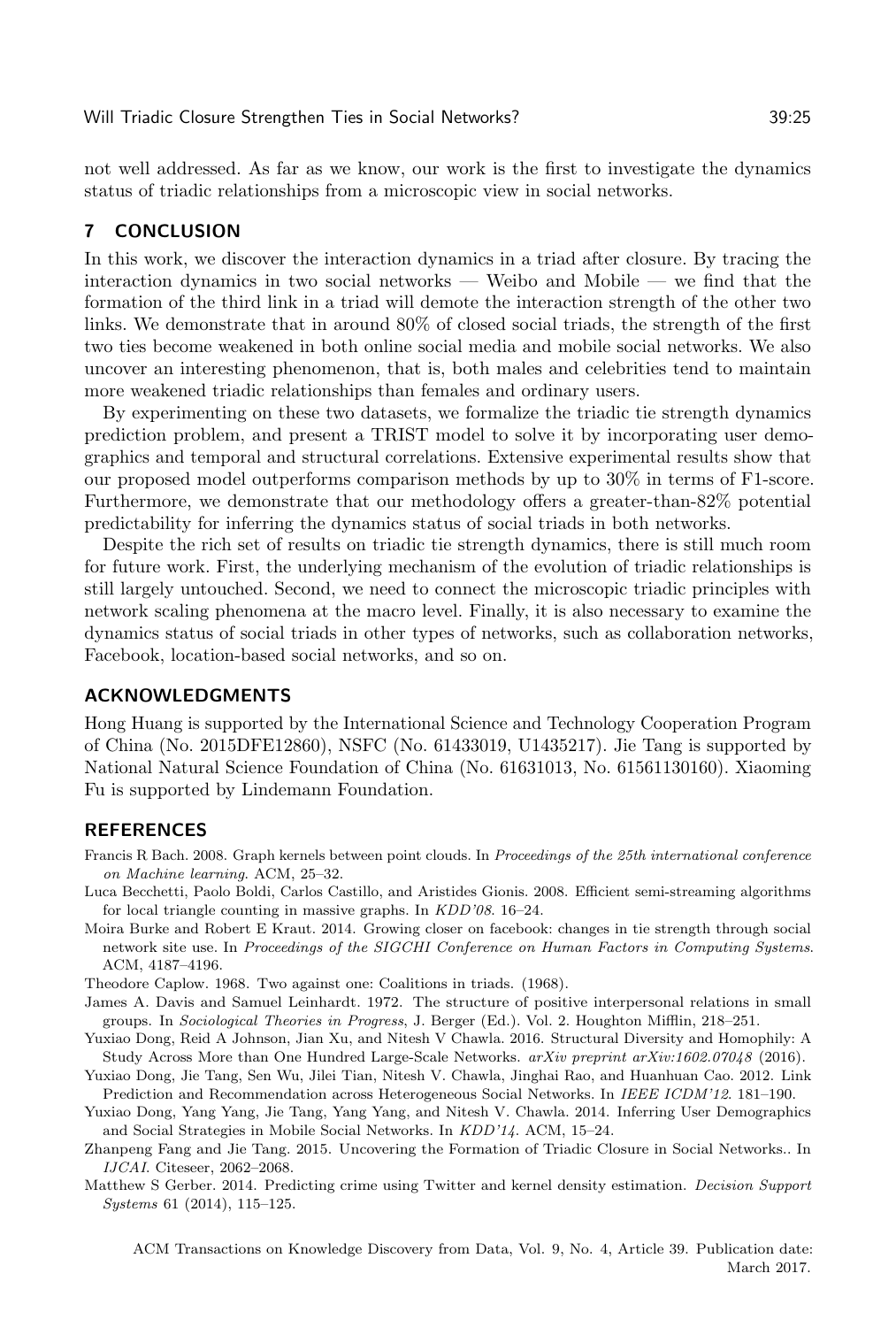not well addressed. As far as we know, our work is the first to investigate the dynamics status of triadic relationships from a microscopic view in social networks.

# <span id="page-24-4"></span>7 CONCLUSION

In this work, we discover the interaction dynamics in a triad after closure. By tracing the interaction dynamics in two social networks — Weibo and Mobile — we find that the formation of the third link in a triad will demote the interaction strength of the other two links. We demonstrate that in around 80% of closed social triads, the strength of the first two ties become weakened in both online social media and mobile social networks. We also uncover an interesting phenomenon, that is, both males and celebrities tend to maintain more weakened triadic relationships than females and ordinary users.

By experimenting on these two datasets, we formalize the triadic tie strength dynamics prediction problem, and present a TRIST model to solve it by incorporating user demographics and temporal and structural correlations. Extensive experimental results show that our proposed model outperforms comparison methods by up to 30% in terms of F1-score. Furthermore, we demonstrate that our methodology offers a greater-than-82% potential predictability for inferring the dynamics status of social triads in both networks.

Despite the rich set of results on triadic tie strength dynamics, there is still much room for future work. First, the underlying mechanism of the evolution of triadic relationships is still largely untouched. Second, we need to connect the microscopic triadic principles with network scaling phenomena at the macro level. Finally, it is also necessary to examine the dynamics status of social triads in other types of networks, such as collaboration networks, Facebook, location-based social networks, and so on.

# ACKNOWLEDGMENTS

Hong Huang is supported by the International Science and Technology Cooperation Program of China (No. 2015DFE12860), NSFC (No. 61433019, U1435217). Jie Tang is supported by National Natural Science Foundation of China (No. 61631013, No. 61561130160). Xiaoming Fu is supported by Lindemann Foundation.

# **REFERENCES**

- <span id="page-24-7"></span>Francis R Bach. 2008. Graph kernels between point clouds. In Proceedings of the 25th international conference on Machine learning. ACM, 25–32.
- <span id="page-24-9"></span>Luca Becchetti, Paolo Boldi, Carlos Castillo, and Aristides Gionis. 2008. Efficient semi-streaming algorithms for local triangle counting in massive graphs. In KDD'08. 16–24.
- <span id="page-24-10"></span>Moira Burke and Robert E Kraut. 2014. Growing closer on facebook: changes in tie strength through social network site use. In Proceedings of the SIGCHI Conference on Human Factors in Computing Systems. ACM, 4187–4196.
- <span id="page-24-1"></span><span id="page-24-0"></span>Theodore Caplow. 1968. Two against one: Coalitions in triads. (1968).
- James A. Davis and Samuel Leinhardt. 1972. The structure of positive interpersonal relations in small groups. In Sociological Theories in Progress, J. Berger (Ed.). Vol. 2. Houghton Mifflin, 218–251.
- <span id="page-24-3"></span>Yuxiao Dong, Reid A Johnson, Jian Xu, and Nitesh V Chawla. 2016. Structural Diversity and Homophily: A Study Across More than One Hundred Large-Scale Networks. arXiv preprint arXiv:1602.07048 (2016).
- <span id="page-24-8"></span>Yuxiao Dong, Jie Tang, Sen Wu, Jilei Tian, Nitesh V. Chawla, Jinghai Rao, and Huanhuan Cao. 2012. Link Prediction and Recommendation across Heterogeneous Social Networks. In IEEE ICDM'12. 181–190.
- <span id="page-24-5"></span>Yuxiao Dong, Yang Yang, Jie Tang, Yang Yang, and Nitesh V. Chawla. 2014. Inferring User Demographics and Social Strategies in Mobile Social Networks. In KDD'14. ACM, 15–24.
- <span id="page-24-2"></span>Zhanpeng Fang and Jie Tang. 2015. Uncovering the Formation of Triadic Closure in Social Networks.. In IJCAI. Citeseer, 2062–2068.
- <span id="page-24-6"></span>Matthew S Gerber. 2014. Predicting crime using Twitter and kernel density estimation. Decision Support Systems 61 (2014), 115–125.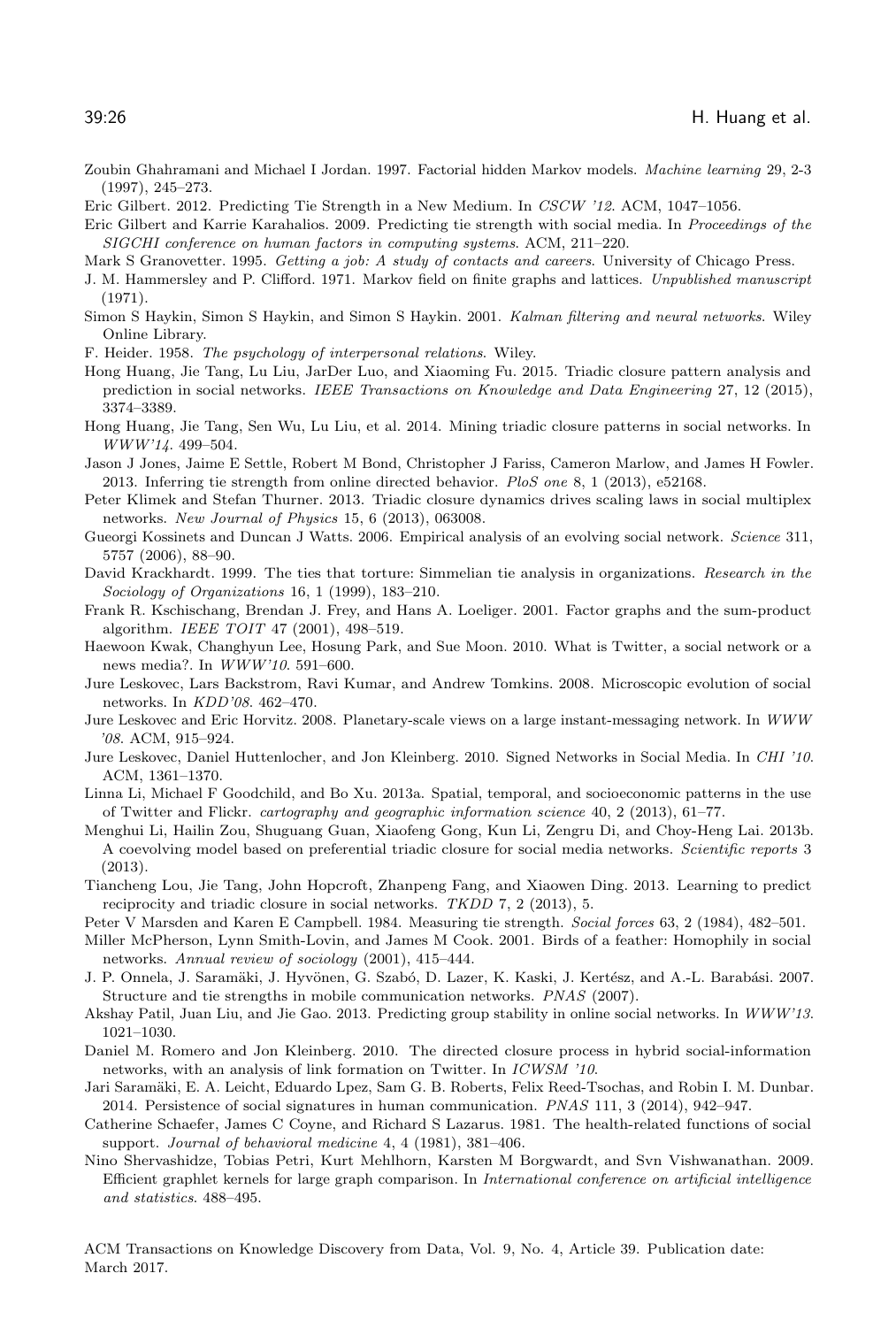- <span id="page-25-15"></span>Zoubin Ghahramani and Michael I Jordan. 1997. Factorial hidden Markov models. Machine learning 29, 2-3 (1997), 245–273.
- <span id="page-25-25"></span><span id="page-25-9"></span>Eric Gilbert. 2012. Predicting Tie Strength in a New Medium. In CSCW '12. ACM, 1047–1056.
- Eric Gilbert and Karrie Karahalios. 2009. Predicting tie strength with social media. In Proceedings of the SIGCHI conference on human factors in computing systems. ACM, 211–220.

<span id="page-25-21"></span>Mark S Granovetter. 1995. Getting a job: A study of contacts and careers. University of Chicago Press.

- <span id="page-25-12"></span>J. M. Hammersley and P. Clifford. 1971. Markov field on finite graphs and lattices. Unpublished manuscript (1971).
- <span id="page-25-16"></span>Simon S Haykin, Simon S Haykin, and Simon S Haykin. 2001. Kalman filtering and neural networks. Wiley Online Library.
- <span id="page-25-0"></span>F. Heider. 1958. The psychology of interpersonal relations. Wiley.
- <span id="page-25-19"></span>Hong Huang, Jie Tang, Lu Liu, JarDer Luo, and Xiaoming Fu. 2015. Triadic closure pattern analysis and prediction in social networks. IEEE Transactions on Knowledge and Data Engineering 27, 12 (2015), 3374–3389.
- <span id="page-25-1"></span>Hong Huang, Jie Tang, Sen Wu, Lu Liu, et al. 2014. Mining triadic closure patterns in social networks. In WWW'14. 499–504.
- <span id="page-25-26"></span>Jason J Jones, Jaime E Settle, Robert M Bond, Christopher J Fariss, Cameron Marlow, and James H Fowler. 2013. Inferring tie strength from online directed behavior. PloS one 8, 1 (2013), e52168.
- <span id="page-25-5"></span>Peter Klimek and Stefan Thurner. 2013. Triadic closure dynamics drives scaling laws in social multiplex networks. New Journal of Physics 15, 6 (2013), 063008.
- <span id="page-25-2"></span>Gueorgi Kossinets and Duncan J Watts. 2006. Empirical analysis of an evolving social network. Science 311, 5757 (2006), 88–90.
- <span id="page-25-24"></span>David Krackhardt. 1999. The ties that torture: Simmelian tie analysis in organizations. Research in the Sociology of Organizations 16, 1 (1999), 183–210.
- <span id="page-25-11"></span>Frank R. Kschischang, Brendan J. Frey, and Hans A. Loeliger. 2001. Factor graphs and the sum-product algorithm. IEEE TOIT 47 (2001), 498–519.
- <span id="page-25-7"></span>Haewoon Kwak, Changhyun Lee, Hosung Park, and Sue Moon. 2010. What is Twitter, a social network or a news media?. In WWW'10. 591–600.
- <span id="page-25-6"></span>Jure Leskovec, Lars Backstrom, Ravi Kumar, and Andrew Tomkins. 2008. Microscopic evolution of social networks. In KDD'08. 462–470.
- <span id="page-25-10"></span>Jure Leskovec and Eric Horvitz. 2008. Planetary-scale views on a large instant-messaging network. In WWW '08. ACM, 915–924.
- <span id="page-25-18"></span>Jure Leskovec, Daniel Huttenlocher, and Jon Kleinberg. 2010. Signed Networks in Social Media. In CHI '10. ACM, 1361–1370.
- <span id="page-25-13"></span>Linna Li, Michael F Goodchild, and Bo Xu. 2013a. Spatial, temporal, and socioeconomic patterns in the use of Twitter and Flickr. cartography and geographic information science 40, 2 (2013), 61–77.
- <span id="page-25-20"></span>Menghui Li, Hailin Zou, Shuguang Guan, Xiaofeng Gong, Kun Li, Zengru Di, and Choy-Heng Lai. 2013b. A coevolving model based on preferential triadic closure for social media networks. Scientific reports 3 (2013).
- <span id="page-25-3"></span>Tiancheng Lou, Jie Tang, John Hopcroft, Zhanpeng Fang, and Xiaowen Ding. 2013. Learning to predict reciprocity and triadic closure in social networks. TKDD 7, 2 (2013), 5.
- <span id="page-25-23"></span>Peter V Marsden and Karen E Campbell. 1984. Measuring tie strength. Social forces 63, 2 (1984), 482–501.
- <span id="page-25-17"></span>Miller McPherson, Lynn Smith-Lovin, and James M Cook. 2001. Birds of a feather: Homophily in social networks. Annual review of sociology (2001), 415–444.
- <span id="page-25-8"></span>J. P. Onnela, J. Saramäki, J. Hyvönen, G. Szabó, D. Lazer, K. Kaski, J. Kertész, and A.-L. Barabási. 2007. Structure and tie strengths in mobile communication networks. PNAS (2007).
- <span id="page-25-28"></span>Akshay Patil, Juan Liu, and Jie Gao. 2013. Predicting group stability in online social networks. In WWW'13. 1021–1030.
- <span id="page-25-4"></span>Daniel M. Romero and Jon Kleinberg. 2010. The directed closure process in hybrid social-information networks, with an analysis of link formation on Twitter. In ICWSM '10.
- <span id="page-25-27"></span>Jari Saramäki, E. A. Leicht, Eduardo Lpez, Sam G. B. Roberts, Felix Reed-Tsochas, and Robin I. M. Dunbar. 2014. Persistence of social signatures in human communication. PNAS 111, 3 (2014), 942–947.
- <span id="page-25-22"></span>Catherine Schaefer, James C Coyne, and Richard S Lazarus. 1981. The health-related functions of social support. Journal of behavioral medicine 4, 4 (1981), 381–406.
- <span id="page-25-14"></span>Nino Shervashidze, Tobias Petri, Kurt Mehlhorn, Karsten M Borgwardt, and Svn Vishwanathan. 2009. Efficient graphlet kernels for large graph comparison. In International conference on artificial intelligence and statistics. 488–495.